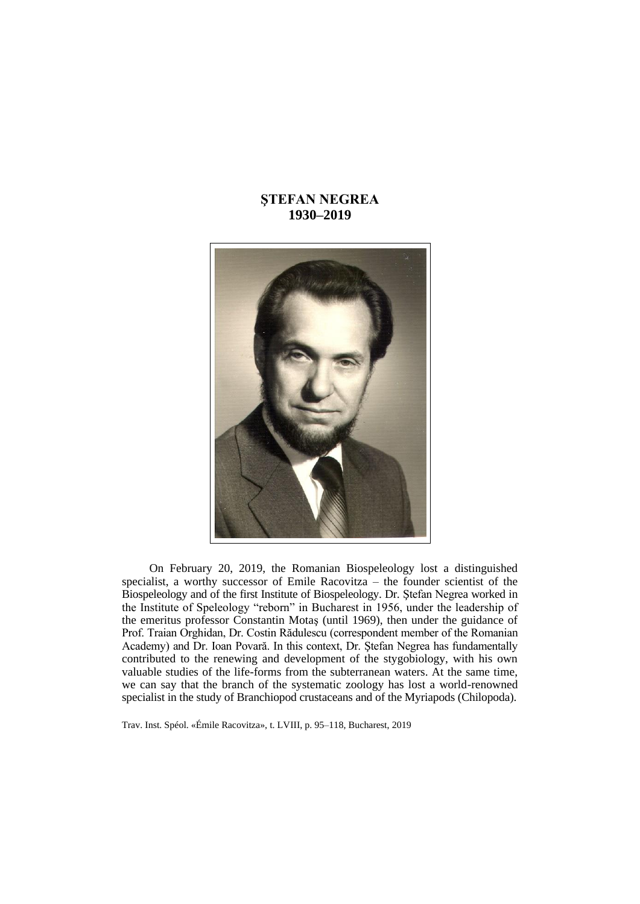# **ŞTEFAN NEGREA 1930–2019**



On February 20, 2019, the Romanian Biospeleology lost a distinguished specialist, a worthy successor of Emile Racovitza – the founder scientist of the Biospeleology and of the first Institute of Biospeleology. Dr. Ştefan Negrea worked in the Institute of Speleology "reborn" in Bucharest in 1956, under the leadership of the emeritus professor Constantin Motaş (until 1969), then under the guidance of Prof. Traian Orghidan, Dr. Costin Rădulescu (correspondent member of the Romanian Academy) and Dr. Ioan Povară. In this context, Dr. Ştefan Negrea has fundamentally contributed to the renewing and development of the stygobiology, with his own valuable studies of the life-forms from the subterranean waters. At the same time, we can say that the branch of the systematic zoology has lost a world-renowned specialist in the study of Branchiopod crustaceans and of the Myriapods (Chilopoda).

Trav. Inst. Spéol. «Émile Racovitza», t. LVIII, p. 95–118, Bucharest, 2019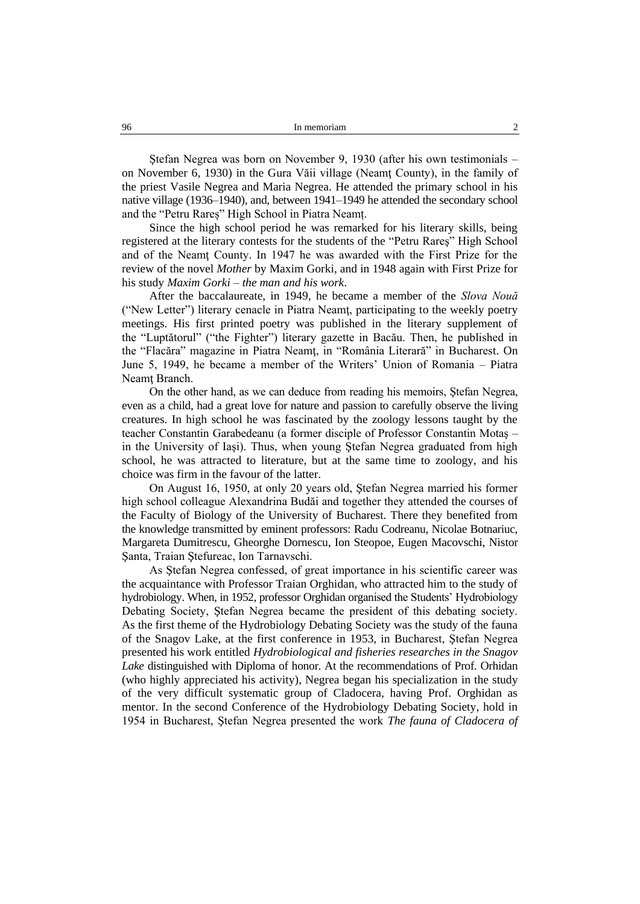Ştefan Negrea was born on November 9, 1930 (after his own testimonials – on November 6, 1930) in the Gura Văii village (Neamţ County), in the family of the priest Vasile Negrea and Maria Negrea. He attended the primary school in his native village (1936–1940), and, between 1941–1949 he attended the secondary school and the "Petru Rareș" High School in Piatra Neamț.

Since the high school period he was remarked for his literary skills, being registered at the literary contests for the students of the "Petru Rareş" High School and of the Neamt County. In 1947 he was awarded with the First Prize for the review of the novel *Mother* by Maxim Gorki, and in 1948 again with First Prize for his study *Maxim Gorki – the man and his work*.

After the baccalaureate, in 1949, he became a member of the *Slova Nouă* ("New Letter") literary cenacle in Piatra Neamţ, participating to the weekly poetry meetings. His first printed poetry was published in the literary supplement of the "Luptătorul" ("the Fighter") literary gazette in Bacău. Then, he published in the "Flacăra" magazine in Piatra Neamţ, in "România Literară" in Bucharest. On June 5, 1949, he became a member of the Writers' Union of Romania – Piatra Neamt Branch.

On the other hand, as we can deduce from reading his memoirs, Ştefan Negrea, even as a child, had a great love for nature and passion to carefully observe the living creatures. In high school he was fascinated by the zoology lessons taught by the teacher Constantin Garabedeanu (a former disciple of Professor Constantin Motaş – in the University of Iaşi). Thus, when young Ştefan Negrea graduated from high school, he was attracted to literature, but at the same time to zoology, and his choice was firm in the favour of the latter.

On August 16, 1950, at only 20 years old, Ştefan Negrea married his former high school colleague Alexandrina Budăi and together they attended the courses of the Faculty of Biology of the University of Bucharest. There they benefited from the knowledge transmitted by eminent professors: Radu Codreanu, Nicolae Botnariuc, Margareta Dumitrescu, Gheorghe Dornescu, Ion Steopoe, Eugen Macovschi, Nistor Şanta, Traian Ştefureac, Ion Tarnavschi.

As Ştefan Negrea confessed, of great importance in his scientific career was the acquaintance with Professor Traian Orghidan, who attracted him to the study of hydrobiology. When, in 1952, professor Orghidan organised the Students' Hydrobiology Debating Society, Ştefan Negrea became the president of this debating society. As the first theme of the Hydrobiology Debating Society was the study of the fauna of the Snagov Lake, at the first conference in 1953, in Bucharest, Ştefan Negrea presented his work entitled *Hydrobiological and fisheries researches in the Snagov Lake* distinguished with Diploma of honor. At the recommendations of Prof. Orhidan (who highly appreciated his activity), Negrea began his specialization in the study of the very difficult systematic group of Cladocera, having Prof. Orghidan as mentor. In the second Conference of the Hydrobiology Debating Society, hold in 1954 in Bucharest, Ştefan Negrea presented the work *The fauna of Cladocera of*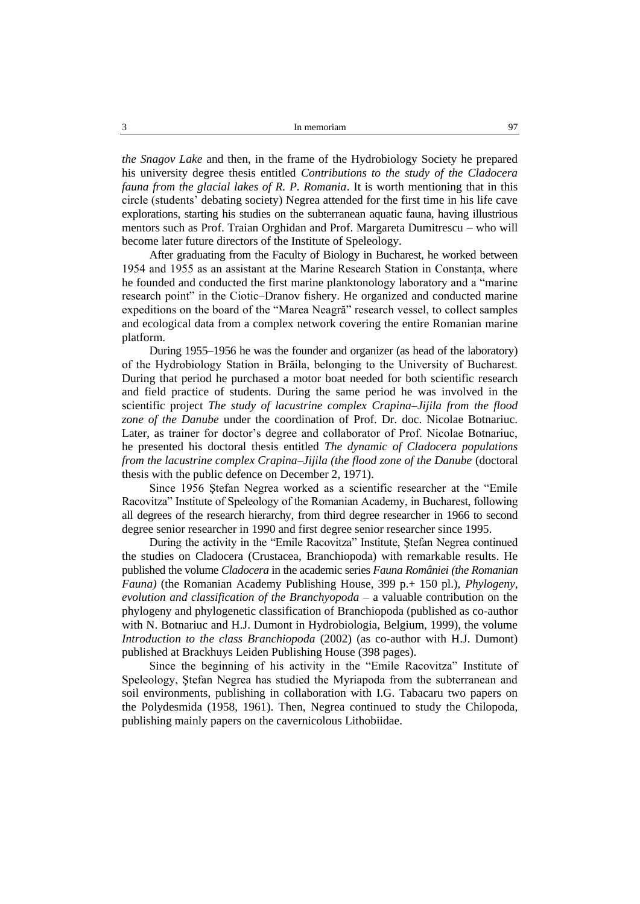*the Snagov Lake* and then, in the frame of the Hydrobiology Society he prepared his university degree thesis entitled *Contributions to the study of the Cladocera fauna from the glacial lakes of R. P. Romania*. It is worth mentioning that in this circle (students' debating society) Negrea attended for the first time in his life cave explorations, starting his studies on the subterranean aquatic fauna, having illustrious mentors such as Prof. Traian Orghidan and Prof. Margareta Dumitrescu – who will become later future directors of the Institute of Speleology.

After graduating from the Faculty of Biology in Bucharest, he worked between 1954 and 1955 as an assistant at the Marine Research Station in Constanța, where he founded and conducted the first marine planktonology laboratory and a "marine research point" in the Ciotic–Dranov fishery. He organized and conducted marine expeditions on the board of the "Marea Neagră" research vessel, to collect samples and ecological data from a complex network covering the entire Romanian marine platform.

During 1955–1956 he was the founder and organizer (as head of the laboratory) of the Hydrobiology Station in Brăila, belonging to the University of Bucharest. During that period he purchased a motor boat needed for both scientific research and field practice of students. During the same period he was involved in the scientific project *The study of lacustrine complex Crapina–Jijila from the flood zone of the Danube* under the coordination of Prof. Dr. doc. Nicolae Botnariuc. Later, as trainer for doctor's degree and collaborator of Prof. Nicolae Botnariuc, he presented his doctoral thesis entitled *The dynamic of Cladocera populations from the lacustrine complex Crapina–Jijila (the flood zone of the Danube (doctoral* thesis with the public defence on December 2, 1971).

Since 1956 Ştefan Negrea worked as a scientific researcher at the "Emile Racovitza" Institute of Speleology of the Romanian Academy, in Bucharest, following all degrees of the research hierarchy, from third degree researcher in 1966 to second degree senior researcher in 1990 and first degree senior researcher since 1995.

During the activity in the "Emile Racovitza" Institute, Ştefan Negrea continued the studies on Cladocera (Crustacea, Branchiopoda) with remarkable results. He published the volume *Cladocera* in the academic series *Fauna României (the Romanian Fauna*) (the Romanian Academy Publishing House, 399 p.+ 150 pl.), *Phylogeny*, *evolution and classification of the Branchyopoda* – a valuable contribution on the phylogeny and phylogenetic classification of Branchiopoda (published as co-author with N. Botnariuc and H.J. Dumont in Hydrobiologia, Belgium, 1999), the volume *Introduction to the class Branchiopoda* (2002) (as co-author with H.J. Dumont) published at Brackhuys Leiden Publishing House (398 pages).

Since the beginning of his activity in the "Emile Racovitza" Institute of Speleology, Ştefan Negrea has studied the Myriapoda from the subterranean and soil environments, publishing in collaboration with I.G. Tabacaru two papers on the Polydesmida (1958, 1961). Then, Negrea continued to study the Chilopoda, publishing mainly papers on the cavernicolous Lithobiidae.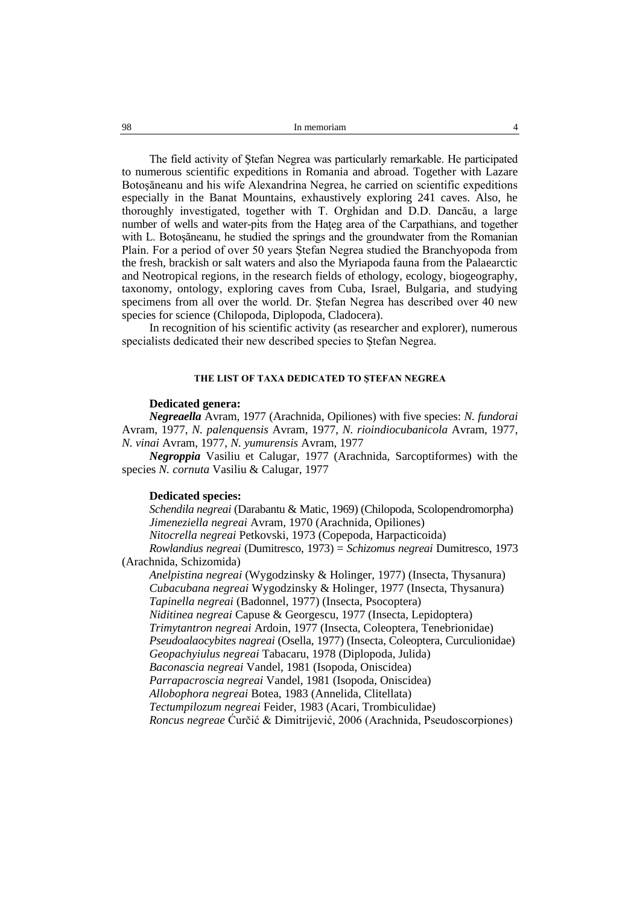The field activity of Ştefan Negrea was particularly remarkable. He participated to numerous scientific expeditions in Romania and abroad. Together with Lazare Botoşăneanu and his wife Alexandrina Negrea, he carried on scientific expeditions especially in the Banat Mountains, exhaustively exploring 241 caves. Also, he thoroughly investigated, together with T. Orghidan and D.D. Dancău, a large number of wells and water-pits from the Hateg area of the Carpathians, and together with L. Botoşăneanu, he studied the springs and the groundwater from the Romanian Plain. For a period of over 50 years Ştefan Negrea studied the Branchyopoda from the fresh, brackish or salt waters and also the Myriapoda fauna from the Palaearctic and Neotropical regions, in the research fields of ethology, ecology, biogeography, taxonomy, ontology, exploring caves from Cuba, Israel, Bulgaria, and studying specimens from all over the world. Dr. Ştefan Negrea has described over 40 new species for science (Chilopoda, Diplopoda, Cladocera).

In recognition of his scientific activity (as researcher and explorer), numerous specialists dedicated their new described species to Ştefan Negrea.

# **THE LIST OF TAXA DEDICATED TO ŞTEFAN NEGREA**

# **Dedicated genera:**

*Negreaella* Avram, 1977 (Arachnida, Opiliones) with five species: *N. fundorai* Avram, 1977, *N. palenquensis* Avram, 1977, *N. rioindiocubanicola* Avram, 1977, *N. vinai* Avram, 1977, *N. yumurensis* Avram, 1977

*Negroppia* Vasiliu et Calugar, 1977 (Arachnida, Sarcoptiformes) with the species *N. cornuta* Vasiliu & Calugar, 1977

# **Dedicated species:**

*Schendila negreai* (Darabantu & Matic, 1969) (Chilopoda, Scolopendromorpha) *Jimeneziella negreai* Avram, 1970 (Arachnida, Opiliones) *Nitocrella negreai* Petkovski, 1973 (Copepoda, Harpacticoida) *Rowlandius negreai* (Dumitresco, 1973) = *Schizomus negreai* Dumitresco, 1973 (Arachnida, Schizomida)

*Anelpistina negreai* (Wygodzinsky & Holinger, 1977) (Insecta, Thysanura) *Cubacubana negreai* Wygodzinsky & Holinger, 1977 (Insecta, Thysanura) *Tapinella negreai* (Badonnel, 1977) (Insecta, Psocoptera) *Niditinea negreai* Capuse & Georgescu, 1977 (Insecta, Lepidoptera) *Trimytantron negreai* Ardoin, 1977 (Insecta, Coleoptera, Tenebrionidae) *Pseudoalaocybites nagreai* (Osella, 1977) (Insecta, Coleoptera, Curculionidae) *Geopachyiulus negreai* Tabacaru, 1978 (Diplopoda, Julida) *Baconascia negreai* Vandel, 1981 (Isopoda, Oniscidea) *Parrapacroscia negreai* Vandel, 1981 (Isopoda, Oniscidea) *Allobophora negreai* Botea, 1983 (Annelida, Clitellata) *Tectumpilozum negreai* Feider, 1983 (Acari, Trombiculidae) *Roncus negreae* Ćurčić & Dimitrijević, 2006 (Arachnida, Pseudoscorpiones)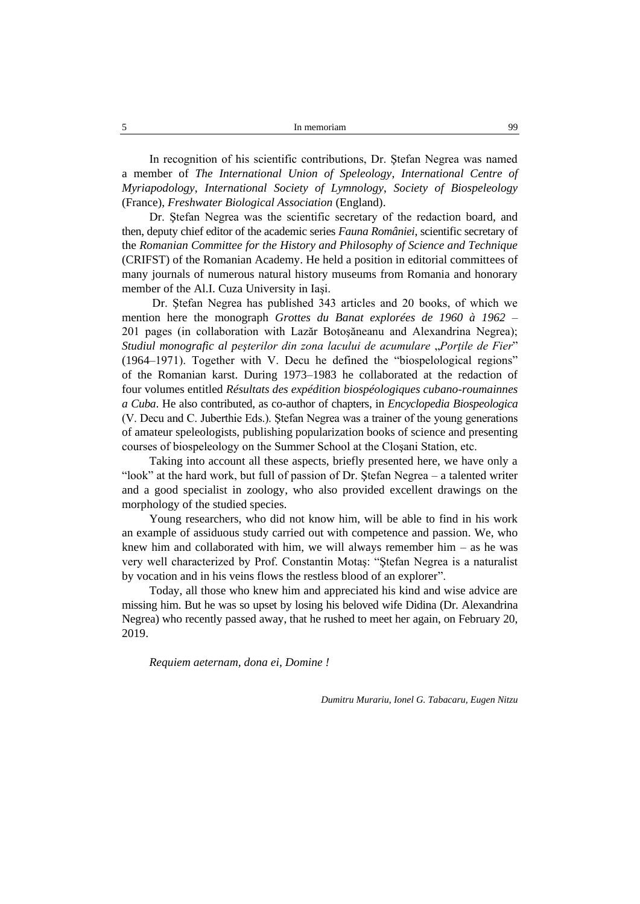In recognition of his scientific contributions, Dr. Ştefan Negrea was named a member of *The International Union of Speleology*, *International Centre of Myriapodology*, *International Society of Lymnology*, *Society of Biospeleology* (France), *Freshwater Biological Association* (England).

Dr. Ştefan Negrea was the scientific secretary of the redaction board, and then, deputy chief editor of the academic series *Fauna României*, scientific secretary of the *Romanian Committee for the History and Philosophy of Science and Technique* (CRIFST) of the Romanian Academy. He held a position in editorial committees of many journals of numerous natural history museums from Romania and honorary member of the Al.I. Cuza University in Iaşi.

Dr. Ştefan Negrea has published 343 articles and 20 books, of which we mention here the monograph *Grottes du Banat explorées de 1960 à 1962* – 201 pages (in collaboration with Lazăr Botoşăneanu and Alexandrina Negrea); *Studiul monografic al peşterilor din zona lacului de acumulare* "*Porţile de Fier*" (1964–1971). Together with V. Decu he defined the "biospelological regions" of the Romanian karst. During 1973–1983 he collaborated at the redaction of four volumes entitled *Résultats des expédition biospéologiques cubano-roumainnes a Cuba*. He also contributed, as co-author of chapters, in *Encyclopedia Biospeologica* (V. Decu and C. Juberthie Eds.). Ştefan Negrea was a trainer of the young generations of amateur speleologists, publishing popularization books of science and presenting courses of biospeleology on the Summer School at the Cloşani Station, etc.

Taking into account all these aspects, briefly presented here, we have only a "look" at the hard work, but full of passion of Dr. Ştefan Negrea – a talented writer and a good specialist in zoology, who also provided excellent drawings on the morphology of the studied species.

Young researchers, who did not know him, will be able to find in his work an example of assiduous study carried out with competence and passion. We, who knew him and collaborated with him, we will always remember him  $-$  as he was very well characterized by Prof. Constantin Motaş: "Ştefan Negrea is a naturalist by vocation and in his veins flows the restless blood of an explorer".

Today, all those who knew him and appreciated his kind and wise advice are missing him. But he was so upset by losing his beloved wife Didina (Dr. Alexandrina Negrea) who recently passed away, that he rushed to meet her again, on February 20, 2019.

*Requiem aeternam, dona ei, Domine !*

*Dumitru Murariu, Ionel G. Tabacaru, Eugen Nitzu*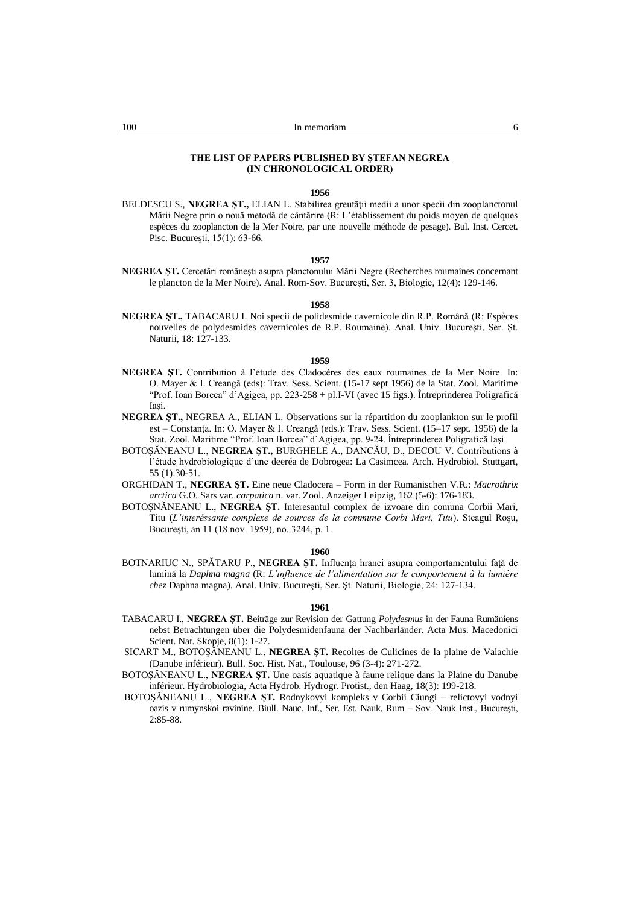# **THE LIST OF PAPERS PUBLISHED BY ŞTEFAN NEGREA (IN CHRONOLOGICAL ORDER)**

### **1956**

BELDESCU S., **NEGREA ȘT.**, ELIAN L. Stabilirea greutății medii a unor specii din zooplanctonul Mării Negre prin o nouă metodă de cântărire (R: L'établissement du poids moyen de quelques espèces du zooplancton de la Mer Noire, par une nouvelle méthode de pesage). Bul. Inst. Cercet. Pisc. Bucureşti, 15(1): 63-66.

### **1957**

**NEGREA ŞT.** Cercetări româneşti asupra planctonului Mării Negre (Recherches roumaines concernant le plancton de la Mer Noire). Anal. Rom-Sov. Bucureşti, Ser. 3, Biologie, 12(4): 129-146.

### **1958**

**NEGREA ŞT.,** TABACARU I. Noi specii de polidesmide cavernicole din R.P. Română (R: Espèces nouvelles de polydesmides cavernicoles de R.P. Roumaine). Anal. Univ. Bucureşti, Ser. Şt. Naturii, 18: 127-133.

# **1959**

- **NEGREA ŞT.** Contribution à l'étude des Cladocères des eaux roumaines de la Mer Noire. In: O. Mayer & I. Creangă (eds): Trav. Sess. Scient. (15-17 sept 1956) de la Stat. Zool. Maritime "Prof. Ioan Borcea" d'Agigea, pp. 223-258 + pl.I-VI (avec 15 figs.). Întreprinderea Poligrafică Iaşi.
- **NEGREA ŞT.,** NEGREA A., ELIAN L. Observations sur la répartition du zooplankton sur le profil est – Constanţa. In: O. Mayer & I. Creangă (eds.): Trav. Sess. Scient. (15–17 sept. 1956) de la Stat. Zool. Maritime "Prof. Ioan Borcea" d'Agigea, pp. 9-24. Întreprinderea Poligrafică Iaşi.
- BOTOŞĂNEANU L., **NEGREA ŞT.,** BURGHELE A., DANCĂU, D., DECOU V. Contributions à l'étude hydrobiologique d'une deeréa de Dobrogea: La Casimcea. Arch. Hydrobiol. Stuttgart, 55 (1):30-51.
- ORGHIDAN T., **NEGREA ŞT.** Eine neue Cladocera Form in der Rumänischen V.R.: *Macrothrix arctica* G.O. Sars var. *carpatica* n. var. Zool. Anzeiger Leipzig, 162 (5-6): 176-183.
- BOTOŞNĂNEANU L., **NEGREA ŞT.** Interesantul complex de izvoare din comuna Corbii Mari, Titu (*L'interéssante complexe de sources de la commune Corbi Mari, Titu*). Steagul Roşu, Bucureşti, an 11 (18 nov. 1959), no. 3244, p. 1.

#### **1960**

BOTNARIUC N., SPĂTARU P., NEGREA ȘT. Influența hranei asupra comportamentului față de lumină la *Daphna magna* (R: *L'influence de l'alimentation sur le comportement à la lumière chez* Daphna magna). Anal. Univ. Bucureşti, Ser. Şt. Naturii, Biologie, 24: 127-134.

- TABACARU I., **NEGREA ŞT.** Beiträge zur Revision der Gattung *Polydesmus* in der Fauna Rumäniens nebst Betrachtungen über die Polydesmidenfauna der Nachbarländer. Acta Mus. Macedonici Scient. Nat. Skopje, 8(1): 1-27.
- SICART M., BOTOŞĂNEANU L., **NEGREA ŞT.** Recoltes de Culicines de la plaine de Valachie (Danube inférieur). Bull. Soc. Hist. Nat., Toulouse, 96 (3-4): 271-272.
- BOTOŞĂNEANU L., **NEGREA ŞT.** Une oasis aquatique à faune relique dans la Plaine du Danube inférieur. Hydrobiologia, Acta Hydrob. Hydrogr. Protist., den Haag, 18(3): 199-218.
- BOTOŞĂNEANU L., **NEGREA ŞT.** Rodnykovyi kompleks v Corbii Ciungi relictovyi vodnyi oazis v rumynskoi ravinine. Biull. Nauc. Inf., Ser. Est. Nauk, Rum – Sov. Nauk Inst., Bucureşti, 2:85-88.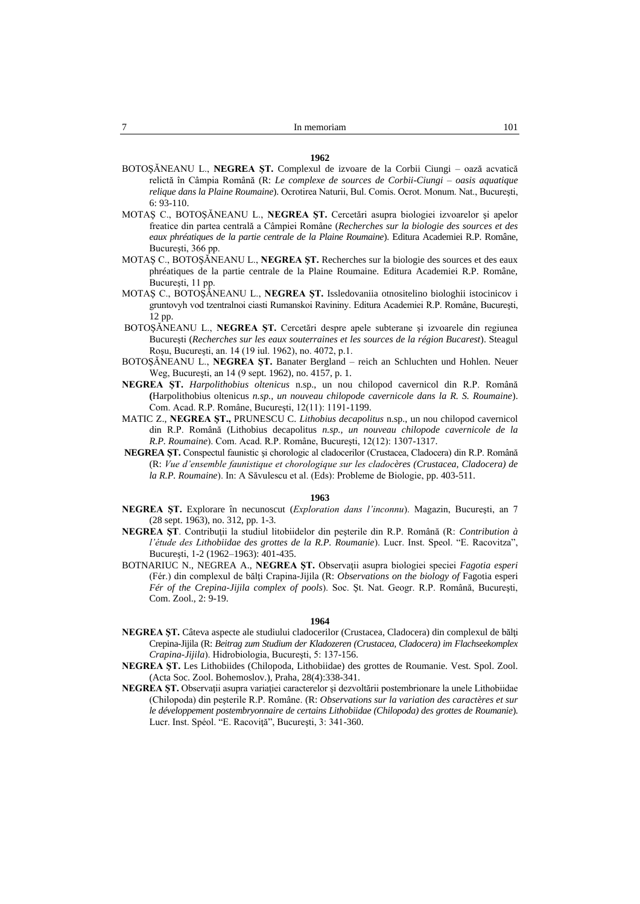- BOTOŞĂNEANU L., **NEGREA ŞT.** Complexul de izvoare de la Corbii Ciungi oază acvatică relictă în Câmpia Română (R: *Le complexe de sources de Corbii-Ciungi – oasis aquatique relique dans la Plaine Roumaine*). Ocrotirea Naturii, Bul. Comis. Ocrot. Monum. Nat., Bucureşti,  $6: 93-110$
- MOTAŞ C., BOTOŞĂNEANU L., **NEGREA ŞT.** Cercetări asupra biologiei izvoarelor şi apelor freatice din partea centrală a Câmpiei Române (*Recherches sur la biologie des sources et des eaux phréatiques de la partie centrale de la Plaine Roumaine*). Editura Academiei R.P. Române, Bucureşti, 366 pp.
- MOTAŞ C., BOTOŞĂNEANU L., **NEGREA ŞT.** Recherches sur la biologie des sources et des eaux phréatiques de la partie centrale de la Plaine Roumaine. Editura Academiei R.P. Române, Bucureşti, 11 pp.
- MOTAŞ C., BOTOŞĂNEANU L., **NEGREA ŞT.** Issledovaniia otnositelino biologhii istocinicov i gruntovyh vod tzentralnoi ciasti Rumanskoi Ravininy. Editura Academiei R.P. Române, Bucureşti, 12 pp.
- BOTOŞĂNEANU L., **NEGREA ŞT.** Cercetări despre apele subterane şi izvoarele din regiunea Bucureşti (*Recherches sur les eaux souterraines et les sources de la région Bucarest*). Steagul Roşu, Bucureşti, an. 14 (19 iul. 1962), no. 4072, p.1.
- BOTOŞĂNEANU L., **NEGREA ŞT.** Banater Bergland reich an Schluchten und Hohlen. Neuer Weg, Bucureşti, an 14 (9 sept. 1962), no. 4157, p. 1.
- **NEGREA ŞT.** *Harpolithobius oltenicus* n.sp., un nou chilopod cavernicol din R.P. Română **(**Harpolithobius oltenicus *n.sp., un nouveau chilopode cavernicole dans la R. S. Roumaine*). Com. Acad. R.P. Române, Bucureşti, 12(11): 1191-1199.
- MATIC Z., **NEGREA ŞT.,** PRUNESCU C. *Lithobius decapolitus* n.sp., un nou chilopod cavernicol din R.P. Română (Lithobius decapolitus *n.sp., un nouveau chilopode cavernicole de la R.P. Roumaine*). Com. Acad. R.P. Române, Bucureşti, 12(12): 1307-1317.
- **NEGREA ŞT.** Conspectul faunistic şi chorologic al cladocerilor (Crustacea, Cladocera) din R.P. Română (R: *Vue d'ensemble faunistique et chorologique sur les cladocères (Crustacea, Cladocera) de la R.P. Roumaine*). In: A Săvulescu et al. (Eds): Probleme de Biologie, pp. 403-511.

### **1963**

- **NEGREA ŞT.** Explorare în necunoscut (*Exploration dans l'inconnu*). Magazin, Bucureşti, an 7 (28 sept. 1963), no. 312, pp. 1-3.
- **NEGREA ŞT**. Contribuţii la studiul litobiidelor din peşterile din R.P. Română (R: *Contribution à l'étude des Lithobiidae des grottes de la R.P. Roumanie*). Lucr. Inst. Speol. "E. Racovitza", Bucureşti, 1-2 (1962–1963): 401-435.
- BOTNARIUC N., NEGREA A., **NEGREA ŞT.** Observaţii asupra biologiei speciei *Fagotia esperi*  (Fér.) din complexul de bălţi Crapina-Jijila (R: *Observations on the biology of* Fagotia esperi *Fér of the Crepina-Jijila complex of pools*). Soc. Şt. Nat. Geogr. R.P. Română, Bucureşti, Com. Zool., 2: 9-19.

- **NEGREA ŞT.** Câteva aspecte ale studiului cladocerilor (Crustacea, Cladocera) din complexul de bălţi Crepina-Jijila (R: *Beitrag zum Studium der Kladozeren (Crustacea, Cladocera) im Flachseekomplex Crapina-Jijila*). Hidrobiologia, Bucureşti, 5: 137-156.
- **NEGREA ŞT.** Les Lithobiides (Chilopoda, Lithobiidae) des grottes de Roumanie. Vest. Spol. Zool. (Acta Soc. Zool. Bohemoslov.), Praha, 28(4):338-341.
- **NEGREA ŞT.** Observaţii asupra variaţiei caracterelor şi dezvoltării postembrionare la unele Lithobiidae (Chilopoda) din peşterile R.P. Române. (R: *Observations sur la variation des caractères et sur le développement postembryonnaire de certains Lithobiidae (Chilopoda) des grottes de Roumanie*). Lucr. Inst. Spéol. "E. Racoviţă", Bucureşti, 3: 341-360.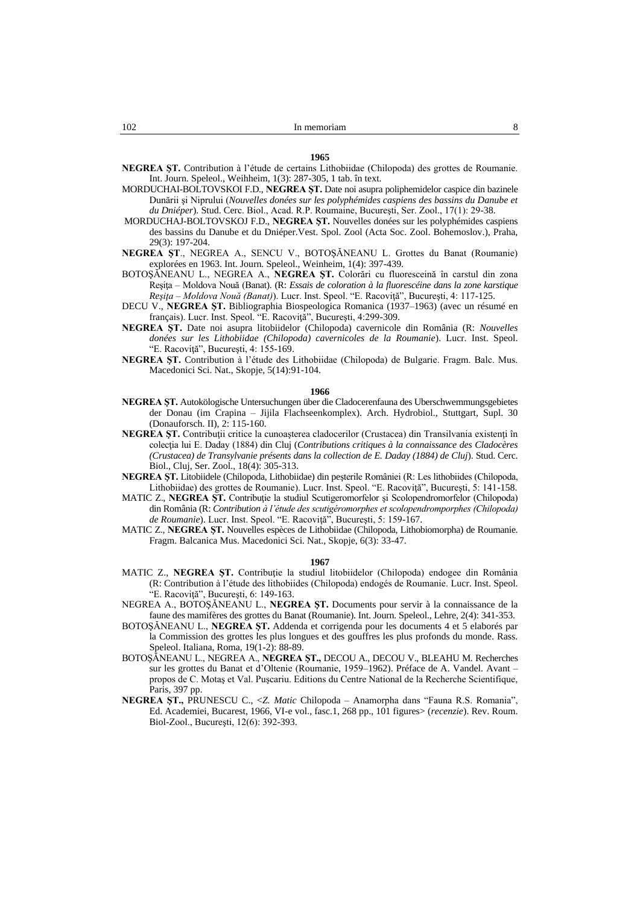- MORDUCHAI-BOLTOVSKOI F.D., **NEGREA ŞT.** Date noi asupra poliphemidelor caspice din bazinele Dunării şi Niprului (*Nouvelles donées sur les polyphémides caspiens des bassins du Danube et du Dniéper*). Stud. Cerc. Biol., Acad. R.P. Roumaine, Bucureşti, Ser. Zool., 17(1): 29-38.
- MORDUCHAJ-BOLTOVSKOJ F.D., **NEGREA ŞT.** Nouvelles donées sur les polyphémides caspiens des bassins du Danube et du Dniéper.Vest. Spol. Zool (Acta Soc. Zool. Bohemoslov.), Praha, 29(3): 197-204.
- **NEGREA ŞT**., NEGREA A., SENCU V., BOTOŞĂNEANU L. Grottes du Banat (Roumanie) explorées en 1963. Int. Journ. Speleol., Weinheim, 1(4): 397-439.
- BOTOŞĂNEANU L., NEGREA A., **NEGREA ŞT.** Colorări cu fluoresceină în carstul din zona Reşiţa – Moldova Nouă (Banat). (R: *Essais de coloration à la fluorescéine dans la zone karstique Reşiţa – Moldova Nouă (Banat)*). Lucr. Inst. Speol. "E. Racoviţă", Bucureşti, 4: 117-125.
- DECU V., **NEGREA ŞT.** Bibliographia Biospeologica Romanica (1937–1963) (avec un résumé en français). Lucr. Inst. Speol. "E. Racovită", București, 4:299-309.
- **NEGREA ŞT.** Date noi asupra litobiidelor (Chilopoda) cavernicole din România (R: *Nouvelles donées sur les Lithobiidae (Chilopoda) cavernicoles de la Roumanie*). Lucr. Inst. Speol. "E. Racoviţă", Bucureşti, 4: 155-169.
- **NEGREA ŞT.** Contribution à l'étude des Lithobiidae (Chilopoda) de Bulgarie. Fragm. Balc. Mus. Macedonici Sci. Nat., Skopje, 5(14):91-104.

- **NEGREA ŞT.** Autokölogische Untersuchungen über die Cladocerenfauna des Uberschwemmungsgebietes der Donau (im Crapina – Jijila Flachseenkomplex). Arch. Hydrobiol., Stuttgart, Supl. 30 (Donauforsch. II), 2: 115-160.
- **NEGREA ST.** Contributii critice la cunoasterea cladocerilor (Crustacea) din Transilvania existenti în colecţia lui E. Daday (1884) din Cluj (*Contributions critiques à la connaissance des Cladocères (Crustacea) de Transylvanie présents dans la collection de E. Daday (1884) de Cluj*). Stud. Cerc. Biol., Cluj, Ser. Zool., 18(4): 305-313.
- **NEGREA ŞT.** Litobiidele (Chilopoda, Lithobiidae) din peşterile României (R: Les lithobiides (Chilopoda, Lithobiidae) des grottes de Roumanie). Lucr. Inst. Speol. "E. Racoviţă", Bucureşti, 5: 141-158.
- MATIC Z., **NEGREA ŞT.** Contribuţie la studiul Scutigeromorfelor şi Scolopendromorfelor (Chilopoda) din România (R: *Contribution à l'étude des scutigéromorphes et scolopendromporphes (Chilopoda) de Roumanie*). Lucr. Inst. Speol. "E. Racoviţă", Bucureşti, 5: 159-167.
- MATIC Z., **NEGREA ŞT.** Nouvelles espèces de Lithobiidae (Chilopoda, Lithobiomorpha) de Roumanie. Fragm. Balcanica Mus. Macedonici Sci. Nat., Skopje, 6(3): 33-47.

- MATIC Z., NEGREA ST. Contributie la studiul litobiidelor (Chilopoda) endogee din România (R: Contribution à l'étude des lithobiides (Chilopoda) endogés de Roumanie. Lucr. Inst. Speol. "E. Racovită", București, 6: 149-163.
- NEGREA A., BOTOŞĂNEANU L., **NEGREA ŞT.** Documents pour servir à la connaissance de la faune des mamifères des grottes du Banat (Roumanie). Int. Journ. Speleol., Lehre, 2(4): 341-353.
- BOTOŞĂNEANU L., **NEGREA ŞT.** Addenda et corrigenda pour les documents 4 et 5 elaborés par la Commission des grottes les plus longues et des gouffres les plus profonds du monde. Rass. Speleol. Italiana, Roma, 19(1-2): 88-89.
- BOTOŞĂNEANU L., NEGREA A., **NEGREA ŞT.,** DECOU A., DECOU V., BLEAHU M. Recherches sur les grottes du Banat et d'Oltenie (Roumanie, 1959–1962). Préface de A. Vandel. Avant – propos de C. Motaş et Val. Puşcariu. Editions du Centre National de la Recherche Scientifique, Paris, 397 pp.
- **NEGREA ŞT.,** PRUNESCU C., <*Z. Matic* Chilopoda Anamorpha dans "Fauna R.S. Romania", Ed. Academiei, Bucarest, 1966, VI-e vol., fasc.1, 268 pp., 101 figures> (*recenzie*). Rev. Roum. Biol-Zool., Bucureşti, 12(6): 392-393.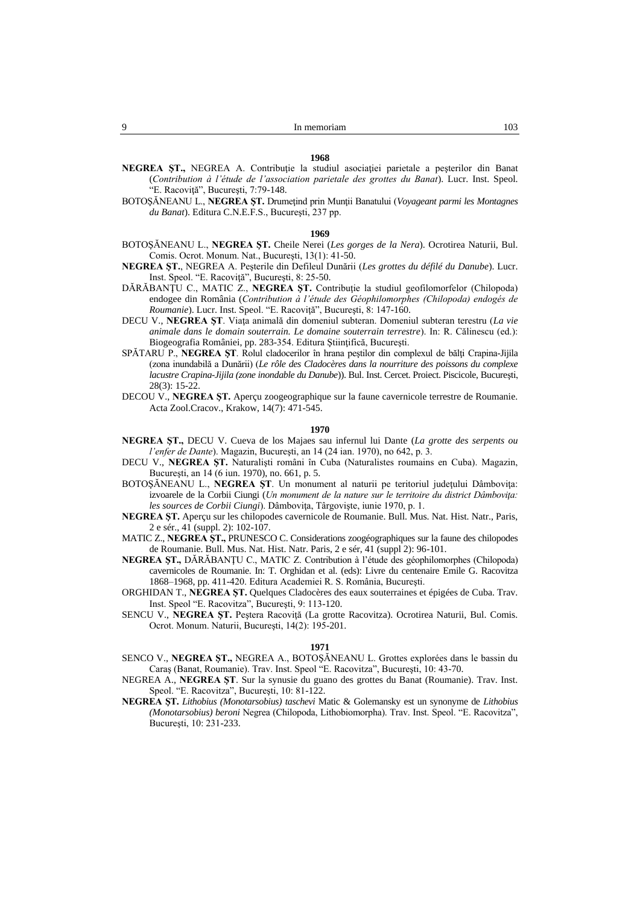- **NEGREA ŞT.,** NEGREA A. Contribuţie la studiul asociaţiei parietale a peşterilor din Banat (*Contribution à l'étude de l'association parietale des grottes du Banat*). Lucr. Inst. Speol. "E. Racovită", București, 7:79-148.
- BOTOŞĂNEANU L., **NEGREA ŞT.** Drumeţind prin Munţii Banatului (*Voyageant parmi les Montagnes du Banat*). Editura C.N.E.F.S., Bucureşti, 237 pp.

- BOTOŞĂNEANU L., **NEGREA ŞT.** Cheile Nerei (*Les gorges de la Nera*). Ocrotirea Naturii, Bul. Comis. Ocrot. Monum. Nat., Bucureşti, 13(1): 41-50.
- **NEGREA ŞT.**, NEGREA A. Peşterile din Defileul Dunării (*Les grottes du défilé du Danube*). Lucr. Inst. Speol. "E. Racoviţă", Bucureşti, 8: 25-50.
- DĂRĂBANŢU C., MATIC Z., **NEGREA ŞT.** Contribuţie la studiul geofilomorfelor (Chilopoda) endogee din România (*Contribution à l'étude des Géophilomorphes (Chilopoda) endogés de Roumanie*). Lucr. Inst. Speol. "E. Racoviţă", Bucureşti, 8: 147-160.
- DECU V., **NEGREA ŞT**. Viaţa animală din domeniul subteran. Domeniul subteran terestru (*La vie animale dans le domain souterrain. Le domaine souterrain terrestre*). In: R. Călinescu (ed.): Biogeografia României, pp. 283-354. Editura Ştiinţifică, Bucureşti.
- SPĂTARU P., **NEGREA ȘT**. Rolul cladocerilor în hrana peștilor din complexul de bălți Crapina-Jijila (zona inundabilă a Dunării) (*Le rôle des Cladocères dans la nourriture des poissons du complexe lacustre Crapina-Jijila (zone inondable du Danube*)). Bul. Inst. Cercet. Proiect. Piscicole, Bucureşti, 28(3): 15-22.
- DECOU V., **NEGREA ŞT.** Aperçu zoogeographique sur la faune cavernicole terrestre de Roumanie. Acta Zool.Cracov., Krakow, 14(7): 471-545.

### **1970**

- **NEGREA ŞT.,** DECU V. Cueva de los Majaes sau infernul lui Dante (*La grotte des serpents ou l'enfer de Dante*). Magazin, Bucureşti, an 14 (24 ian. 1970), no 642, p. 3.
- DECU V., **NEGREA ŞT.** Naturalişti români în Cuba (Naturalistes roumains en Cuba). Magazin, Bucureşti, an 14 (6 iun. 1970), no. 661, p. 5.
- BOTOŞĂNEANU L., **NEGREA ŞT**. Un monument al naturii pe teritoriul judeţului Dâmboviţa: izvoarele de la Corbii Ciungi (*Un monument de la nature sur le territoire du district Dâmboviţa: les sources de Corbii Ciungi*). Dâmboviţa, Târgovişte, iunie 1970, p. 1.
- **NEGREA ŞT.** Aperçu sur les chilopodes cavernicole de Roumanie. Bull. Mus. Nat. Hist. Natr., Paris, 2 e sér., 41 (suppl. 2): 102-107.
- MATIC Z., **NEGREA ŞT.,** PRUNESCO C. Considerations zoogéographiques sur la faune des chilopodes de Roumanie. Bull. Mus. Nat. Hist. Natr. Paris, 2 e sér, 41 (suppl 2): 96-101.
- **NEGREA ŞT.,** DĂRĂBANŢU C., MATIC Z. Contribution à l'étude des géophilomorphes (Chilopoda) cavernicoles de Roumanie. In: T. Orghidan et al. (eds): Livre du centenaire Emile G. Racovitza 1868–1968, pp. 411-420. Editura Academiei R. S. România, Bucureşti.
- ORGHIDAN T., **NEGREA ŞT.** Quelques Cladocères des eaux souterraines et épigées de Cuba. Trav. Inst. Speol "E. Racovitza", Bucureşti, 9: 113-120.
- SENCU V., **NEGREA ŞT.** Peştera Racoviţă (La grotte Racovitza). Ocrotirea Naturii, Bul. Comis. Ocrot. Monum. Naturii, Bucureşti, 14(2): 195-201.

- SENCO V., **NEGREA ŞT.,** NEGREA A., BOTOŞĂNEANU L. Grottes explorées dans le bassin du Caraş (Banat, Roumanie). Trav. Inst. Speol "E. Racovitza", Bucureşti, 10: 43-70.
- NEGREA A., **NEGREA ŞT**. Sur la synusie du guano des grottes du Banat (Roumanie). Trav. Inst. Speol. "E. Racovitza", Bucureşti, 10: 81-122.
- **NEGREA ŞT.** *Lithobius (Monotarsobius) taschevi* Matic & Golemansky est un synonyme de *Lithobius (Monotarsobius) beroni* Negrea (Chilopoda, Lithobiomorpha). Trav. Inst. Speol. "E. Racovitza", Bucureşti, 10: 231-233.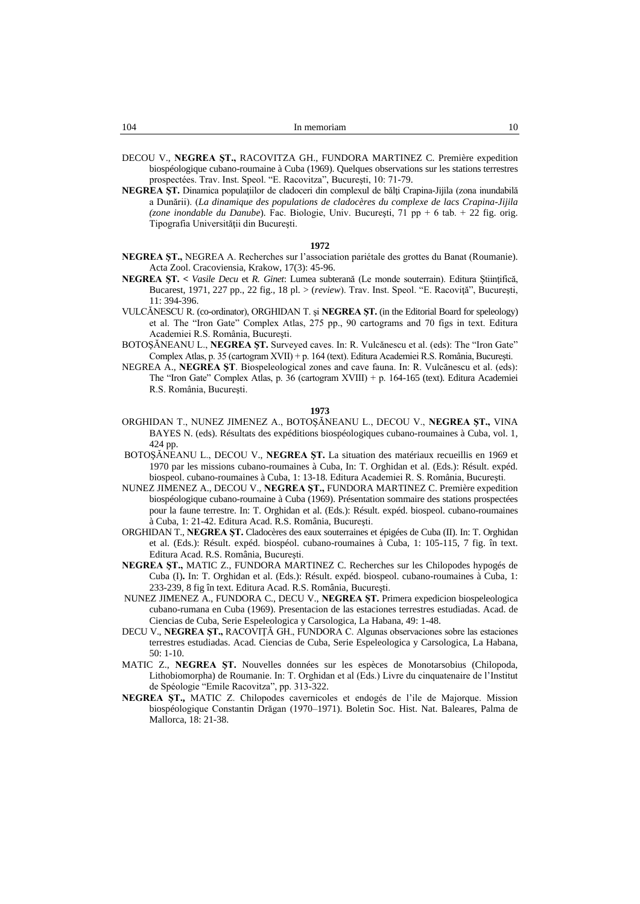| In memoriam |
|-------------|
|             |

- DECOU V., **NEGREA ŞT.,** RACOVITZA GH., FUNDORA MARTINEZ C. Première expedition biospéologique cubano-roumaine à Cuba (1969). Quelques observations sur les stations terrestres prospectées. Trav. Inst. Speol. "E. Racovitza", Bucureşti, 10: 71-79.
- **NEGREA ŞT.** Dinamica populaţiilor de cladoceri din complexul de bălţi Crapina-Jijila (zona inundabilă a Dunării). (*La dinamique des populations de cladocères du complexe de lacs Crapina-Jijila (zone inondable du Danube*)*.* Fac. Biologie, Univ. Bucureşti, 71 pp + 6 tab. + 22 fig. orig. Tipografia Universităţii din Bucureşti.

- **NEGREA ŞT.,** NEGREA A. Recherches sur l'association pariétale des grottes du Banat (Roumanie). Acta Zool. Cracoviensia, Krakow, 17(3): 45-96.
- **NEGREA ŞT. <** *Vasile Decu* et *R. Ginet*: Lumea subterană (Le monde souterrain). Editura Ştiinţifică, Bucarest, 1971, 227 pp., 22 fig., 18 pl. > (*review*). Trav. Inst. Speol. "E. Racoviţă", Bucureşti, 11: 394-396.
- VULCĂNESCU R. (co-ordinator), ORGHIDAN T. şi **NEGREA ŞT.** (in the Editorial Board for speleology) et al. The "Iron Gate" Complex Atlas, 275 pp., 90 cartograms and 70 figs in text. Editura Academiei R.S. România, Bucureşti.
- BOTOŞĂNEANU L., **NEGREA ŞT.** Surveyed caves. In: R. Vulcănescu et al. (eds): The "Iron Gate" Complex Atlas, p. 35 (cartogram XVII) + p. 164 (text). Editura Academiei R.S. România, Bucureşti.
- NEGREA A., **NEGREA ŞT**. Biospeleological zones and cave fauna. In: R. Vulcănescu et al. (eds): The "Iron Gate" Complex Atlas, p. 36 (cartogram XVIII) + p. 164-165 (text). Editura Academiei R.S. România, Bucureşti.

- ORGHIDAN T., NUNEZ JIMENEZ A., BOTOŞĂNEANU L., DECOU V., **NEGREA ŞT.,** VINA BAYES N. (eds). Résultats des expéditions biospéologiques cubano-roumaines à Cuba, vol. 1, 424 pp.
- BOTOŞĂNEANU L., DECOU V., **NEGREA ŞT.** La situation des matériaux recueillis en 1969 et 1970 par les missions cubano-roumaines à Cuba, In: T. Orghidan et al. (Eds.): Résult. expéd. biospeol. cubano-roumaines à Cuba, 1: 13-18. Editura Academiei R. S. România, Bucureşti.
- NUNEZ JIMENEZ A., DECOU V., **NEGREA ŞT.,** FUNDORA MARTINEZ C. Première expedition biospéologique cubano-roumaine à Cuba (1969). Présentation sommaire des stations prospectées pour la faune terrestre. In: T. Orghidan et al. (Eds.): Résult. expéd. biospeol. cubano-roumaines à Cuba, 1: 21-42. Editura Acad. R.S. România, Bucureşti.
- ORGHIDAN T., **NEGREA ŞT.** Cladocères des eaux souterraines et épigées de Cuba (II). In: T. Orghidan et al. (Eds.): Résult. expéd. biospéol. cubano-roumaines à Cuba, 1: 105-115, 7 fig. în text. Editura Acad. R.S. România, Bucureşti.
- **NEGREA ŞT.,** MATIC Z., FUNDORA MARTINEZ C. Recherches sur les Chilopodes hypogés de Cuba (I)**.** In: T. Orghidan et al. (Eds.): Résult. expéd. biospeol. cubano-roumaines à Cuba, 1: 233-239, 8 fig în text. Editura Acad. R.S. România, Bucureşti.
- NUNEZ JIMENEZ A., FUNDORA C., DECU V., **NEGREA ŞT.** Primera expedicion biospeleologica cubano-rumana en Cuba (1969). Presentacion de las estaciones terrestres estudiadas. Acad. de Ciencias de Cuba, Serie Espeleologica y Carsologica, La Habana, 49: 1-48.
- DECU V., **NEGREA ŞT.,** RACOVIŢĂ GH., FUNDORA C. Algunas observaciones sobre las estaciones terrestres estudiadas. Acad. Ciencias de Cuba, Serie Espeleologica y Carsologica, La Habana, 50: 1-10.
- MATIC Z., **NEGREA ŞT.** Nouvelles données sur les espèces de Monotarsobius (Chilopoda, Lithobiomorpha) de Roumanie. In: T. Orghidan et al (Eds.) Livre du cinquatenaire de l'Institut de Spéologie "Emile Racovitza", pp. 313-322.
- **NEGREA ŞT.,** MATIC Z. Chilopodes cavernicoles et endogés de l'ile de Majorque. Mission biospéologique Constantin Drăgan (1970–1971). Boletin Soc. Hist. Nat. Baleares, Palma de Mallorca, 18: 21-38.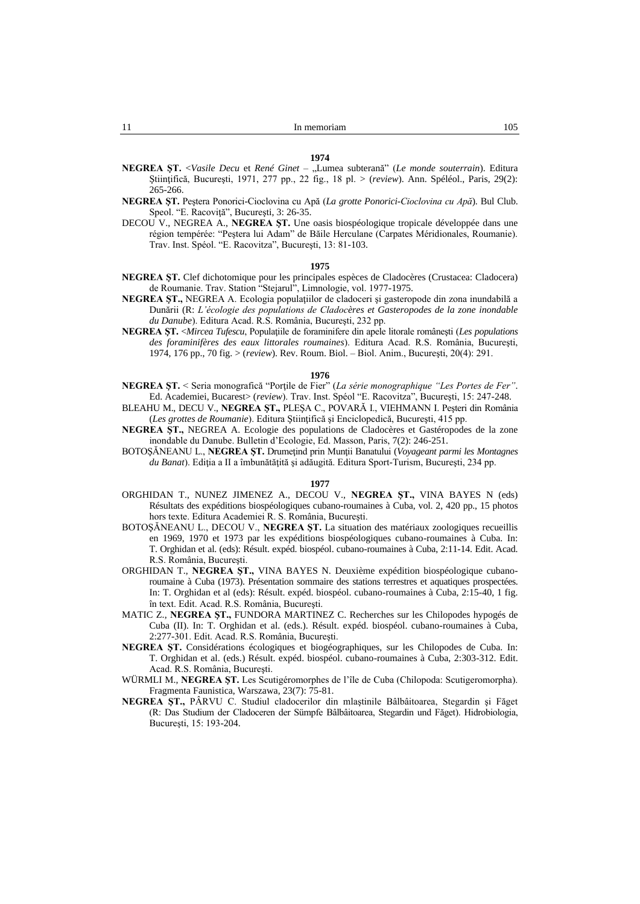- **NEGREA ŞT.** <*Vasile Decu* et *René Ginet* "Lumea subterană" (*Le monde souterrain*). Editura Ştiinţifică, Bucureşti, 1971, 277 pp., 22 fig., 18 pl. > (*review*). Ann. Spéléol., Paris, 29(2): 265-266.
- **NEGREA ŞT.** Peştera Ponorici-Cioclovina cu Apă (*La grotte Ponorici-Cioclovina cu Apă*). Bul Club. Speol. "E. Racoviţă", Bucureşti, 3: 26-35.
- DECOU V., NEGREA A., **NEGREA ŞT.** Une oasis biospéologique tropicale développée dans une région tempérée: "Peştera lui Adam" de Băile Herculane (Carpates Méridionales, Roumanie). Trav. Inst. Spéol. "E. Racovitza", Bucureşti, 13: 81-103.

### **1975**

- **NEGREA ŞT.** Clef dichotomique pour les principales espèces de Cladocères (Crustacea: Cladocera) de Roumanie. Trav. Station "Stejarul", Limnologie, vol. 1977-1975.
- **NEGREA ŞT.,** NEGREA A. Ecologia populaţiilor de cladoceri şi gasteropode din zona inundabilă a Dunării (R: *L'écologie des populations de Cladocères et Gasteropodes de la zone inondable du Danube*). Editura Acad. R.S. România, Bucureşti, 232 pp.
- **NEGREA ŞT.** <*Mircea Tufescu*, Populaţiile de foraminifere din apele litorale româneşti (*Les populations des foraminifères des eaux littorales roumaines*). Editura Acad. R.S. România, Bucureşti, 1974, 176 pp., 70 fig. > (*review*). Rev. Roum. Biol. – Biol. Anim., Bucureşti, 20(4): 291.

# **1976**

- **NEGREA ŞT.** < Seria monografică "Porţile de Fier" (*La série monographique "Les Portes de Fer"*. Ed. Academiei, Bucarest> (*review*). Trav. Inst. Spéol "E. Racovitza", Bucureşti, 15: 247-248.
- BLEAHU M., DECU V., **NEGREA ŞT.,** PLEŞA C., POVARĂ I., VIEHMANN I. Peşteri din România (*Les grottes de Roumanie*). Editura Ştiinţifică şi Enciclopedică, Bucureşti, 415 pp.
- **NEGREA ŞT.,** NEGREA A. Ecologie des populations de Cladocères et Gastéropodes de la zone inondable du Danube. Bulletin d'Ecologie, Ed. Masson, Paris, 7(2): 246-251.
- BOTOŞĂNEANU L., **NEGREA ŞT.** Drumeţind prin Munţii Banatului (*Voyageant parmi les Montagnes du Banat*). Ediţia a II a îmbunătăţită şi adăugită. Editura Sport-Turism, Bucureşti, 234 pp.

- ORGHIDAN T., NUNEZ JIMENEZ A., DECOU V., **NEGREA ŞT.,** VINA BAYES N (eds) Résultats des expéditions biospéologiques cubano-roumaines à Cuba, vol. 2, 420 pp., 15 photos hors texte. Editura Academiei R. S. România, Bucureşti.
- BOTOŞĂNEANU L., DECOU V., **NEGREA ŞT.** La situation des matériaux zoologiques recueillis en 1969, 1970 et 1973 par les expéditions biospéologiques cubano-roumaines à Cuba. In: T. Orghidan et al. (eds): Résult. expéd. biospéol. cubano-roumaines à Cuba, 2:11-14. Edit. Acad. R.S. România, Bucureşti.
- ORGHIDAN T., **NEGREA ŞT.,** VINA BAYES N. Deuxième expédition biospéologique cubanoroumaine à Cuba (1973). Présentation sommaire des stations terrestres et aquatiques prospectées. In: T. Orghidan et al (eds): Résult. expéd. biospéol. cubano-roumaines à Cuba, 2:15-40, 1 fig. în text. Edit. Acad. R.S. România, Bucureşti.
- MATIC Z., **NEGREA ŞT.,** FUNDORA MARTINEZ C. Recherches sur les Chilopodes hypogés de Cuba (II). In: T. Orghidan et al. (eds.). Résult. expéd. biospéol. cubano-roumaines à Cuba, 2:277-301. Edit. Acad. R.S. România, Bucureşti.
- **NEGREA ŞT.** Considérations écologiques et biogéographiques, sur les Chilopodes de Cuba. In: T. Orghidan et al. (eds.) Résult. expéd. biospéol. cubano-roumaines à Cuba, 2:303-312. Edit. Acad. R.S. România, Bucureşti.
- WÜRMLI M., **NEGREA ŞT.** Les Scutigéromorphes de l'île de Cuba (Chilopoda: Scutigeromorpha). Fragmenta Faunistica, Warszawa, 23(7): 75-81.
- **NEGREA ŞT.,** PÂRVU C. Studiul cladocerilor din mlaştinile Bâlbâitoarea, Stegardin şi Făget (R: Das Studium der Cladoceren der Sümpfe Bâlbâitoarea, Stegardin und Făget). Hidrobiologia, Bucureşti, 15: 193-204.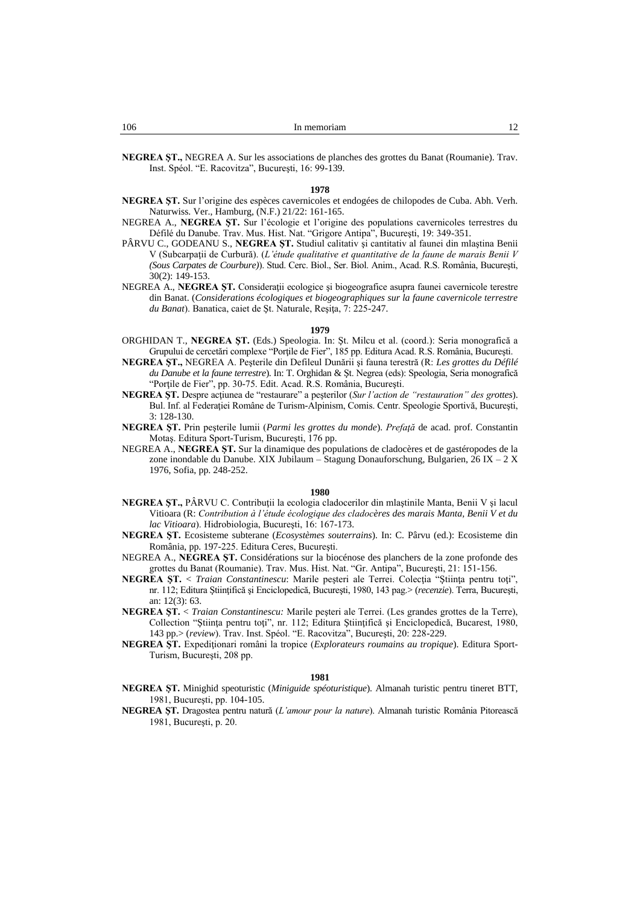**NEGREA ŞT.,** NEGREA A. Sur les associations de planches des grottes du Banat (Roumanie). Trav. Inst. Spéol. "E. Racovitza", Bucureşti, 16: 99-139.

### **1978**

- **NEGREA ŞT.** Sur l'origine des espèces cavernicoles et endogées de chilopodes de Cuba. Abh. Verh. Naturwiss. Ver., Hamburg, (N.F.) 21/22: 161-165.
- NEGREA A., **NEGREA ŞT.** Sur l'écologie et l'origine des populations cavernicoles terrestres du Défilé du Danube. Trav. Mus. Hist. Nat. "Grigore Antipa", Bucureşti, 19: 349-351.
- PÂRVU C., GODEANU S., **NEGREA ŞT.** Studiul calitativ şi cantitativ al faunei din mlaştina Benii V (Subcarpaţii de Curbură). (*L'étude qualitative et quantitative de la faune de marais Benii V (Sous Carpates de Courbure)*). Stud. Cerc. Biol., Ser. Biol. Anim., Acad. R.S. România, Bucureşti, 30(2): 149-153.
- NEGREA A., **NEGREA ŞT.** Consideraţii ecologice şi biogeografice asupra faunei cavernicole terestre din Banat. (*Considerations écologiques et biogeographiques sur la faune cavernicole terrestre du Banat*). Banatica, caiet de Şt. Naturale, Reşiţa, 7: 225-247.

#### **1979**

- ORGHIDAN T., **NEGREA ŞT.** (Eds.) Speologia. In: Şt. Milcu et al. (coord.): Seria monografică a Grupului de cercetări complexe "Porțile de Fier", 185 pp. Editura Acad. R.S. România, București.
- **NEGREA ŞT.,** NEGREA A. Peşterile din Defileul Dunării şi fauna terestră (R: *Les grottes du Défilé du Danube et la faune terrestre*). In: T. Orghidan & Şt. Negrea (eds): Speologia, Seria monografică "Porţile de Fier", pp. 30-75. Edit. Acad. R.S. România, Bucureşti.
- **NEGREA ŞT.** Despre acţiunea de "restaurare" a peşterilor (*Sur l'action de "restauration" des grottes*). Bul. Inf. al Federaţiei Române de Turism-Alpinism, Comis. Centr. Speologie Sportivă, Bucureşti, 3: 128-130.
- **NEGREA ŞT.** Prin peşterile lumii (*Parmi les grottes du monde*). *Prefaţă* de acad. prof. Constantin Motaş. Editura Sport-Turism, Bucureşti, 176 pp.
- NEGREA A., **NEGREA ŞT.** Sur la dinamique des populations de cladocères et de gastéropodes de la zone inondable du Danube. XIX Jubilaum – Stagung Donauforschung, Bulgarien, 26 IX – 2 X 1976, Sofia, pp. 248-252.

# **1980**

- **NEGREA ST., PÂRVU C. Contribuții la ecologia cladocerilor din mlaștinile Manta, Benii V și lacul** Vitioara (R: *Contribution à l'étude écologique des cladocères des marais Manta, Benii V et du lac Vitioara*). Hidrobiologia, Bucureşti, 16: 167-173.
- **NEGREA ŞT.** Ecosisteme subterane (*Ecosystèmes souterrains*). In: C. Pârvu (ed.): Ecosisteme din România, pp. 197-225. Editura Ceres, Bucureşti.
- NEGREA A., **NEGREA ŞT.** Considérations sur la biocénose des planchers de la zone profonde des grottes du Banat (Roumanie). Trav. Mus. Hist. Nat. "Gr. Antipa", Bucureşti, 21: 151-156.
- **NEGREA ŞT.** < *Traian Constantinescu*: Marile peşteri ale Terrei. Colecţia "Ştiinţa pentru toţi", nr. 112; Editura Ştiinţifică şi Enciclopedică, Bucureşti, 1980, 143 pag.> (*recenzie*). Terra, Bucureşti, an: 12(3): 63.
- **NEGREA ŞT.** < *Traian Constantinescu:* Marile peşteri ale Terrei. (Les grandes grottes de la Terre), Collection "Ştiinţa pentru toţi", nr. 112; Editura Ştiinţifică şi Enciclopedică, Bucarest, 1980, 143 pp.> (*review*). Trav. Inst. Spéol. "E. Racovitza", Bucureşti, 20: 228-229.
- **NEGREA ŞT.** Expediţionari români la tropice (*Explorateurs roumains au tropique*). Editura Sport-Turism, Bucureşti, 208 pp.

- **NEGREA ŞT.** Minighid speoturistic (*Miniguide spéoturistique*). Almanah turistic pentru tineret BTT, 1981, Bucureşti, pp. 104-105.
- **NEGREA ŞT.** Dragostea pentru natură (*L'amour pour la nature*). Almanah turistic România Pitorească 1981, Bucureşti, p. 20.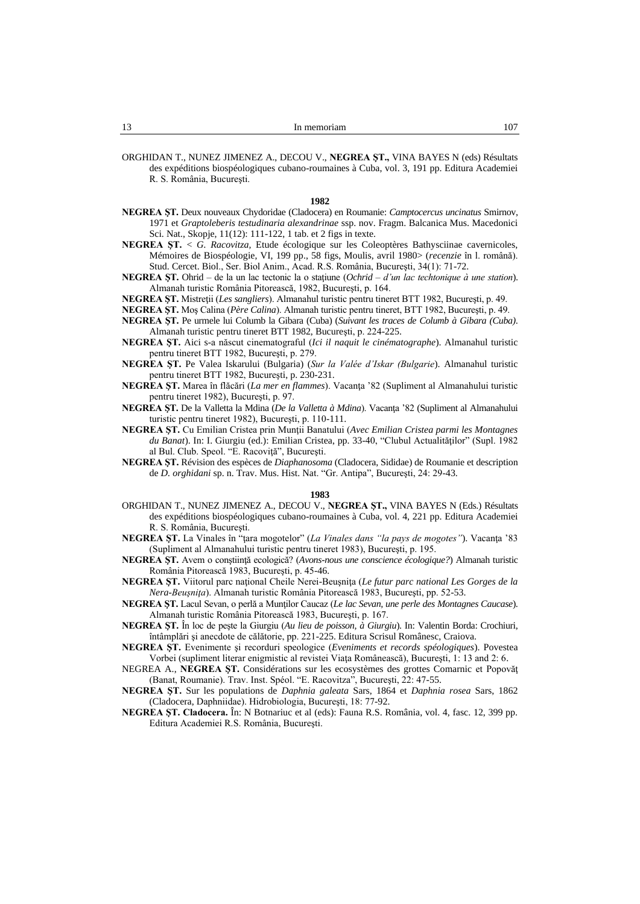ORGHIDAN T., NUNEZ JIMENEZ A., DECOU V., **NEGREA ŞT.,** VINA BAYES N (eds) Résultats des expéditions biospéologiques cubano-roumaines à Cuba, vol. 3, 191 pp. Editura Academiei R. S. România, Bucureşti.

### **1982**

- **NEGREA ŞT.** Deux nouveaux Chydoridae (Cladocera) en Roumanie: *Camptocercus uncinatus* Smirnov, 1971 et *Graptoleberis testudinaria alexandrinae* ssp. nov. Fragm. Balcanica Mus. Macedonici Sci. Nat., Skopje, 11(12): 111-122, 1 tab. et 2 figs in texte.
- **NEGREA ŞT.** < *G. Racovitza,* Etude écologique sur les Coleoptères Bathysciinae cavernicoles, Mémoires de Biospéologie, VI, 199 pp., 58 figs, Moulis, avril 1980> (*recenzie* în l. română). Stud. Cercet. Biol., Ser. Biol Anim., Acad. R.S. România, Bucureşti, 34(1): 71-72.
- **NEGREA ŞT.** Ohrid de la un lac tectonic la o staţiune (*Ochrid – d'un lac techtonique à une station*). Almanah turistic România Pitorească, 1982, Bucureşti, p. 164.
- **NEGREA ŞT.** Mistreţii (*Les sangliers*). Almanahul turistic pentru tineret BTT 1982, Bucureşti, p. 49.
- **NEGREA ŞT.** Moş Calina (*Père Calina*). Almanah turistic pentru tineret, BTT 1982, Bucureşti, p. 49.
- **NEGREA ŞT.** Pe urmele lui Columb la Gibara (Cuba) (*Suivant les traces de Columb à Gibara (Cuba)*. Almanah turistic pentru tineret BTT 1982, Bucureşti, p. 224-225.
- **NEGREA ŞT.** Aici s-a născut cinematograful (*Ici il naquit le cinématographe*). Almanahul turistic pentru tineret BTT 1982, Bucureşti, p. 279.
- **NEGREA ŞT.** Pe Valea Iskarului (Bulgaria) (*Sur la Valée d'Iskar (Bulgarie*). Almanahul turistic pentru tineret BTT 1982, Bucureşti, p. 230-231.
- **NEGREA ŞT.** Marea în flăcări (*La mer en flammes*). Vacanţa '82 (Supliment al Almanahului turistic pentru tineret 1982), Bucureşti, p. 97.
- **NEGREA ŞT.** De la Valletta la Mdina (*De la Valletta à Mdina*). Vacanţa '82 (Supliment al Almanahului turistic pentru tineret 1982), Bucureşti, p. 110-111.
- **NEGREA ŞT.** Cu Emilian Cristea prin Munţii Banatului (*Avec Emilian Cristea parmi les Montagnes du Banat*). In: I. Giurgiu (ed.): Emilian Cristea, pp. 33-40, "Clubul Actualităţilor" (Supl. 1982 al Bul. Club. Speol. "E. Racoviţă", Bucureşti.
- **NEGREA ŞT.** Révision des espèces de *Diaphanosoma* (Cladocera, Sididae) de Roumanie et description de *D. orghidani* sp. n. Trav. Mus. Hist. Nat. "Gr. Antipa", Bucureşti, 24: 29-43.

- ORGHIDAN T., NUNEZ JIMENEZ A., DECOU V., **NEGREA ŞT.,** VINA BAYES N (Eds.) Résultats des expéditions biospéologiques cubano-roumaines à Cuba, vol. 4, 221 pp. Editura Academiei R. S. România, Bucureşti.
- **NEGREA ŞT.** La Vinales în "ţara mogotelor" (*La Vinales dans "la pays de mogotes"*). Vacanţa '83 (Supliment al Almanahului turistic pentru tineret 1983), Bucureşti, p. 195.
- **NEGREA ŞT.** Avem o conştiinţă ecologică? (*Avons-nous une conscience écologique?*) Almanah turistic România Pitorească 1983, Bucureşti, p. 45-46.
- **NEGREA ŞT.** Viitorul parc naţional Cheile Nerei-Beuşniţa (*Le futur parc national Les Gorges de la Nera-Beuşniţa*). Almanah turistic România Pitorească 1983, Bucureşti, pp. 52-53.
- **NEGREA ŞT.** Lacul Sevan, o perlă a Munţilor Caucaz (*Le lac Sevan, une perle des Montagnes Caucase*). Almanah turistic România Pitorească 1983, Bucureşti, p. 167.
- **NEGREA ŞT.** În loc de peşte la Giurgiu (*Au lieu de poisson, à Giurgiu*). In: Valentin Borda: Crochiuri, întâmplări şi anecdote de călătorie, pp. 221-225. Editura Scrisul Românesc, Craiova.
- **NEGREA ŞT.** Evenimente şi recorduri speologice (*Eveniments et records spéologiques*). Povestea Vorbei (supliment literar enigmistic al revistei Viaţa Românească), Bucureşti, 1: 13 and 2: 6.
- NEGREA A., **NEGREA ŞT.** Considérations sur les ecosystèmes des grottes Comarnic et Popovăţ (Banat, Roumanie). Trav. Inst. Spéol. "E. Racovitza", Bucureşti, 22: 47-55.
- **NEGREA ŞT.** Sur les populations de *Daphnia galeata* Sars, 1864 et *Daphnia rosea* Sars, 1862 (Cladocera, Daphniidae). Hidrobiologia, Bucureşti, 18: 77-92.
- **NEGREA ŞT. Cladocera.** În: N Botnariuc et al (eds): Fauna R.S. România, vol. 4, fasc. 12, 399 pp. Editura Academiei R.S. România, Bucureşti.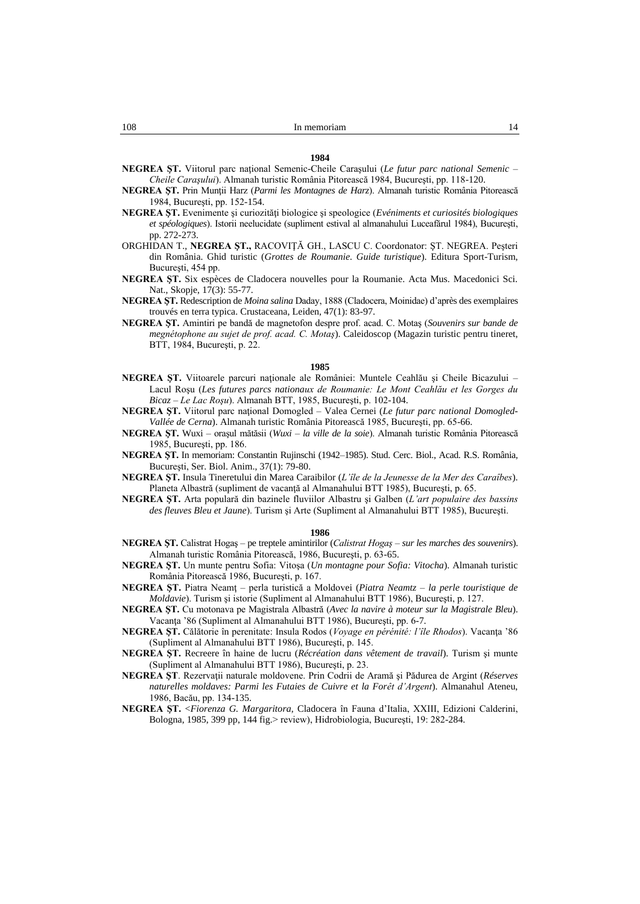**NEGREA ŞT.** Viitorul parc naţional Semenic-Cheile Caraşului (*Le futur parc national Semenic – Cheile Caraşului*). Almanah turistic România Pitorească 1984, Bucureşti, pp. 118-120.

- **NEGREA ŞT.** Prin Munţii Harz (*Parmi les Montagnes de Harz*). Almanah turistic România Pitorească 1984, Bucureşti, pp. 152-154.
- **NEGREA ŞT.** Evenimente şi curiozităţi biologice şi speologice (*Evéniments et curiosités biologiques et spéologiques*). Istorii neelucidate (supliment estival al almanahului Luceafărul 1984), Bucureşti, pp. 272-273.
- ORGHIDAN T., **NEGREA ŞT.,** RACOVIŢĂ GH., LASCU C. Coordonator: ŞT. NEGREA. Peşteri din România. Ghid turistic (*Grottes de Roumanie. Guide turistique*). Editura Sport-Turism, Bucureşti, 454 pp.
- **NEGREA ŞT.** Six espèces de Cladocera nouvelles pour la Roumanie. Acta Mus. Macedonici Sci. Nat., Skopje, 17(3): 55-77.
- **NEGREA ŞT.** Redescription de *Moina salina* Daday, 1888 (Cladocera, Moinidae) d'après des exemplaires trouvés en terra typica. Crustaceana, Leiden, 47(1): 83-97.
- **NEGREA ŞT.** Amintiri pe bandă de magnetofon despre prof. acad. C. Motaş (*Souvenirs sur bande de megnétophone au sujet de prof. acad. C. Motaş*). Caleidoscop (Magazin turistic pentru tineret, BTT, 1984, Bucureşti, p. 22.

# **1985**

- **NEGREA ŞT.** Viitoarele parcuri naţionale ale României: Muntele Ceahlău şi Cheile Bicazului Lacul Roşu (*Les futures parcs nationaux de Roumanie: Le Mont Ceahlău et les Gorges du Bicaz – Le Lac Roşu*). Almanah BTT, 1985, Bucureşti, p. 102-104.
- **NEGREA ŞT.** Viitorul parc naţional Domogled Valea Cernei (*Le futur parc national Domogled-Vallée de Cerna*). Almanah turistic România Pitorească 1985, Bucureşti, pp. 65-66.
- **NEGREA ŞT.** Wuxi oraşul mătăsii (*Wuxi – la ville de la soie*). Almanah turistic România Pitorească 1985, Bucureşti, pp. 186.
- **NEGREA ŞT.** In memoriam: Constantin Rujinschi (1942–1985). Stud. Cerc. Biol., Acad. R.S. România, Bucureşti, Ser. Biol. Anim., 37(1): 79-80.
- **NEGREA ŞT.** Insula Tineretului din Marea Caraibilor (*L'île de la Jeunesse de la Mer des Caraîbes*). Planeta Albastră (supliment de vacanţă al Almanahului BTT 1985), Bucureşti, p. 65.
- **NEGREA ŞT.** Arta populară din bazinele fluviilor Albastru şi Galben (*L'art populaire des bassins des fleuves Bleu et Jaune*). Turism şi Arte (Supliment al Almanahului BTT 1985), Bucureşti.

- **NEGREA ŞT.** Calistrat Hogaş pe treptele amintirilor (*Calistrat Hogaş – sur les marches des souvenirs*). Almanah turistic România Pitorească, 1986, Bucureşti, p. 63-65.
- **NEGREA ŞT.** Un munte pentru Sofia: Vitoşa (*Un montagne pour Sofia: Vitocha*). Almanah turistic România Pitorească 1986, Bucureşti, p. 167.
- **NEGREA ŞT.** Piatra Neamţ perla turistică a Moldovei (*Piatra Neamtz – la perle touristique de Moldavie*). Turism şi istorie (Supliment al Almanahului BTT 1986), Bucureşti, p. 127.
- **NEGREA ŞT.** Cu motonava pe Magistrala Albastră (*Avec la navire à moteur sur la Magistrale Bleu*). Vacanţa '86 (Supliment al Almanahului BTT 1986), Bucureşti, pp. 6-7.
- **NEGREA ŞT.** Călătorie în perenitate: Insula Rodos (*Voyage en pérénité: l'île Rhodos*). Vacanţa '86 (Supliment al Almanahului BTT 1986), Bucureşti, p. 145.
- **NEGREA ŞT.** Recreere în haine de lucru (*Récréation dans vêtement de travail*). Turism şi munte (Supliment al Almanahului BTT 1986), Bucureşti, p. 23.
- **NEGREA ŞT**. Rezervaţii naturale moldovene. Prin Codrii de Aramă şi Pădurea de Argint (*Réserves naturelles moldaves: Parmi les Futaies de Cuivre et la Forêt d'Argent*). Almanahul Ateneu, 1986, Bacău, pp. 134-135.
- **NEGREA ŞT.** <*Fiorenza G. Margaritora*, Cladocera în Fauna d'Italia, XXIII, Edizioni Calderini, Bologna, 1985, 399 pp, 144 fig.> review), Hidrobiologia, Bucureşti, 19: 282-284.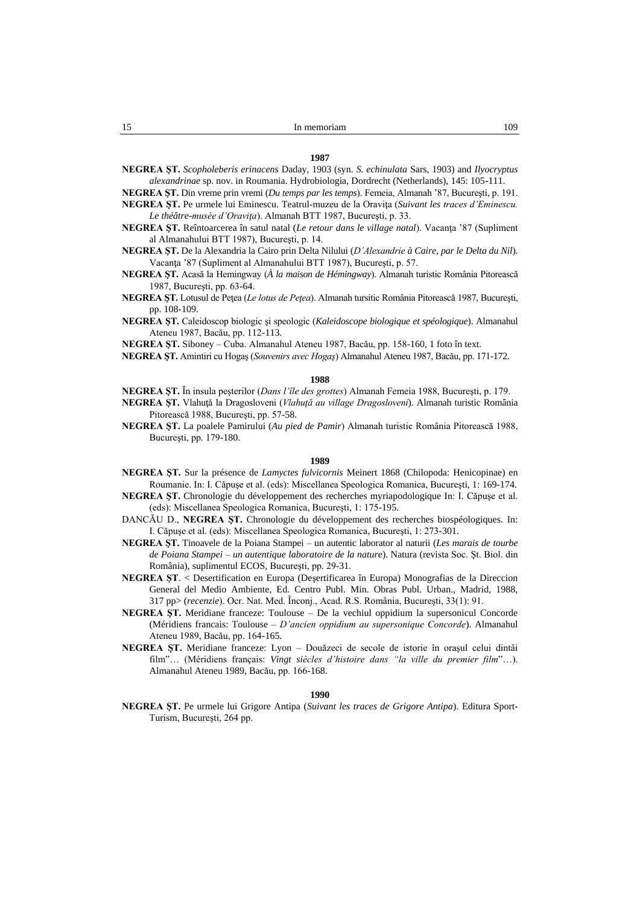**NEGREA ŞT.** *Scopholeberis erinacens* Daday, 1903 (syn. *S. echinulata* Sars, 1903) and *Ilyocryptus alexandrinae* sp. nov. in Roumania. Hydrobiologia, Dordrecht (Netherlands), 145: 105-111.

**NEGREA ŞT.** Din vreme prin vremi (*Du temps par les temps*). Femeia, Almanah '87, Bucureşti, p. 191.

**NEGREA ŞT.** Pe urmele lui Eminescu. Teatrul-muzeu de la Oraviţa (*Suivant les traces d'Eminescu. Le théâtre-musée d'Oraviţa*). Almanah BTT 1987, Bucureşti, p. 33.

- **NEGREA ŞT.** Reîntoarcerea în satul natal (*Le retour dans le village natal*). Vacanţa '87 (Supliment al Almanahului BTT 1987), Bucureşti, p. 14.
- **NEGREA ŞT.** De la Alexandria la Cairo prin Delta Nilului (*D'Alexandrie à Caire, par le Delta du Nil*). Vacanţa '87 (Supliment al Almanahului BTT 1987), Bucureşti, p. 57.
- **NEGREA ŞT.** Acasă la Hemingway (*À la maison de Hémingway*). Almanah turistic România Pitorească 1987, Bucureşti, pp. 63-64.
- **NEGREA ŞT.** Lotusul de Peţea (*Le lotus de Peţea*). Almanah tursitic România Pitorească 1987, Bucureşti, pp. 108-109.
- **NEGREA ŞT.** Caleidoscop biologic şi speologic (*Kaleidoscope biologique et spéologique*). Almanahul Ateneu 1987, Bacău, pp. 112-113.

**NEGREA ŞT.** Siboney – Cuba. Almanahul Ateneu 1987, Bacău, pp. 158-160, 1 foto în text.

**NEGREA ŞT.** Amintiri cu Hogaş (*Souvenirs avec Hogaş*) Almanahul Ateneu 1987, Bacău, pp. 171-172.

# **1988**

- **NEGREA ŞT.** În insula peşterilor (*Dans l'île des grottes*) Almanah Femeia 1988, Bucureşti, p. 179.
- **NEGREA ŞT.** Vlahuţă la Dragosloveni (*Vlahuţă au village Dragosloveni*). Almanah turistic România Pitorească 1988, Bucureşti, pp. 57-58.
- **NEGREA ŞT.** La poalele Pamirului (*Au pied de Pamir*) Almanah turistic România Pitorească 1988, Bucureşti, pp. 179-180.

### **1989**

- **NEGREA ŞT.** Sur la présence de *Lamyctes fulvicornis* Meinert 1868 (Chilopoda: Henicopinae) en Roumanie. In: I. Căpuşe et al. (eds): Miscellanea Speologica Romanica, Bucureşti, 1: 169-174.
- **NEGREA ŞT.** Chronologie du développement des recherches myriapodologique In: I. Căpuşe et al. (eds): Miscellanea Speologica Romanica, Bucureşti, 1: 175-195.
- DANCĂU D., **NEGREA ŞT.** Chronologie du développement des recherches biospéologiques. In: I. Căpuşe et al. (eds): Miscellanea Speologica Romanica, Bucureşti, 1: 273-301.
- **NEGREA ŞT.** Tinoavele de la Poiana Stampei un autentic laborator al naturii (*Les marais de tourbe de Poiana Stampei – un autentique laboratoire de la nature*). Natura (revista Soc. Şt. Biol. din România), suplimentul ECOS, Bucureşti, pp. 29-31.
- **NEGREA ŞT**. < Desertification en Europa (Deşertificarea în Europa) Monografias de la Direccion General del Medio Ambiente, Ed. Centro Publ. Min. Obras Publ. Urban., Madrid, 1988, 317 pp> (*recenzie*). Ocr. Nat. Med. Înconj., Acad. R.S. România, Bucureşti, 33(1): 91.
- **NEGREA ŞT.** Meridiane franceze: Toulouse De la vechiul oppidium la supersonicul Concorde (Méridiens francais: Toulouse – *D'ancien oppidium au supersonique Concorde*). Almanahul Ateneu 1989, Bacău, pp. 164-165.
- **NEGREA ŞT.** Meridiane franceze: Lyon Douăzeci de secole de istorie în oraşul celui dintâi film"… (Méridiens français: *Vingt siècles d'histoire dans "la ville du premier film*"…). Almanahul Ateneu 1989, Bacău, pp. 166-168.

### **1990**

**NEGREA ŞT.** Pe urmele lui Grigore Antipa (*Suivant les traces de Grigore Antipa*). Editura Sport-Turism, Bucureşti, 264 pp.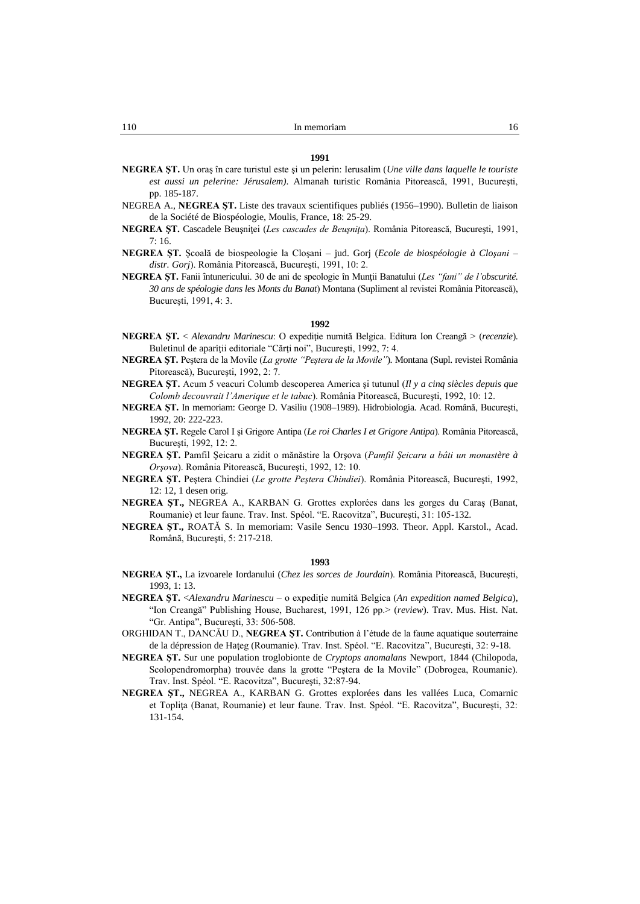- **NEGREA ŞT.** Un oraş în care turistul este şi un pelerin: Ierusalim (*Une ville dans laquelle le touriste est aussi un pelerine: Jérusalem)*. Almanah turistic România Pitorească, 1991, Bucureşti, pp. 185-187.
- NEGREA A., **NEGREA ŞT.** Liste des travaux scientifiques publiés (1956–1990). Bulletin de liaison de la Société de Biospéologie, Moulis, France, 18: 25-29.
- **NEGREA ŞT.** Cascadele Beuşniţei (*Les cascades de Beuşniţa*). România Pitorească, Bucureşti, 1991,  $7:16.$
- **NEGREA ŞT.** Şcoală de biospeologie la Cloşani jud. Gorj (*Ecole de biospéologie à Cloşani – distr. Gorj*). România Pitorească, Bucureşti, 1991, 10: 2.
- **NEGREA ŞT.** Fanii întunericului. 30 de ani de speologie în Munţii Banatului (*Les "fani" de l'obscurité. 30 ans de spéologie dans les Monts du Banat*) Montana (Supliment al revistei România Pitorească), Bucureşti, 1991, 4: 3.

# **1992**

- **NEGREA ŞT.** < *Alexandru Marinescu*: O expediţie numită Belgica. Editura Ion Creangă > (*recenzie*). Buletinul de apariţii editoriale "Cărţi noi", Bucureşti, 1992, 7: 4.
- **NEGREA ŞT.** Peştera de la Movile (*La grotte "Peştera de la Movile"*). Montana (Supl. revistei România Pitorească), Bucureşti, 1992, 2: 7.
- **NEGREA ŞT.** Acum 5 veacuri Columb descoperea America şi tutunul (*Il y a cinq siècles depuis que Colomb decouvrait l'Amerique et le tabac*). România Pitorească, Bucureşti, 1992, 10: 12.
- **NEGREA ŞT.** In memoriam: George D. Vasiliu (1908–1989). Hidrobiologia. Acad. Română, Bucureşti, 1992, 20: 222-223.
- **NEGREA ŞT.** Regele Carol I şi Grigore Antipa (*Le roi Charles I et Grigore Antipa*). România Pitorească, Bucureşti, 1992, 12: 2.
- **NEGREA ŞT.** Pamfil Şeicaru a zidit o mănăstire la Orşova (*Pamfil Şeicaru a bâti un monastère à Orşova*). România Pitorească, Bucureşti, 1992, 12: 10.
- **NEGREA ŞT.** Peştera Chindiei (*Le grotte Peştera Chindiei*). România Pitorească, Bucureşti, 1992, 12: 12, 1 desen orig.
- **NEGREA ŞT.,** NEGREA A., KARBAN G. Grottes explorées dans les gorges du Caraş (Banat, Roumanie) et leur faune. Trav. Inst. Spéol. "E. Racovitza", Bucureşti, 31: 105-132.
- **NEGREA ŞT.,** ROATĂ S. In memoriam: Vasile Sencu 1930–1993. Theor. Appl. Karstol., Acad. Română, Bucureşti, 5: 217-218.

- **NEGREA ŞT.,** La izvoarele Iordanului (*Chez les sorces de Jourdain*). România Pitorească, Bucureşti, 1993, 1: 13.
- **NEGREA ŞT.** <*Alexandru Marinescu* o expediţie numită Belgica (*An expedition named Belgica*), "Ion Creangă" Publishing House, Bucharest, 1991, 126 pp.> (*review*). Trav. Mus. Hist. Nat. "Gr. Antipa", Bucureşti, 33: 506-508.
- ORGHIDAN T., DANCĂU D., **NEGREA ŞT.** Contribution à l'étude de la faune aquatique souterraine de la dépression de Haţeg (Roumanie). Trav. Inst. Spéol. "E. Racovitza", Bucureşti, 32: 9-18.
- **NEGREA ŞT.** Sur une population troglobionte de *Cryptops anomalans* Newport, 1844 (Chilopoda, Scolopendromorpha) trouvée dans la grotte "Peştera de la Movile" (Dobrogea, Roumanie). Trav. Inst. Spéol. "E. Racovitza", Bucureşti, 32:87-94.
- **NEGREA ŞT.,** NEGREA A., KARBAN G. Grottes explorées dans les vallées Luca, Comarnic et Toplita (Banat, Roumanie) et leur faune. Trav. Inst. Spéol. "E. Racovitza", București, 32: 131-154.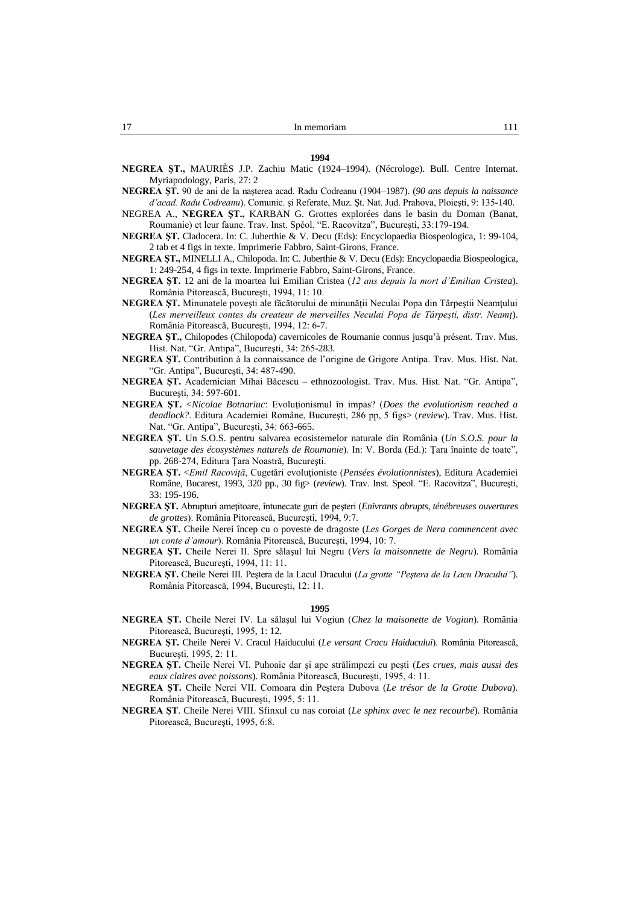- **NEGREA ŞT.,** MAURIÈS J.P. Zachiu Matic (1924–1994). (Nécrologe). Bull. Centre Internat. Myriapodology, Paris, 27: 2
- **NEGREA ŞT.** 90 de ani de la naşterea acad. Radu Codreanu (1904–1987). (*90 ans depuis la naissance d'acad. Radu Codreanu*). Comunic. şi Referate, Muz. Şt. Nat. Jud. Prahova, Ploieşti, 9: 135-140.
- NEGREA A., **NEGREA ŞT.,** KARBAN G. Grottes explorées dans le basin du Doman (Banat, Roumanie) et leur faune. Trav. Inst. Spéol. "E. Racovitza", Bucureşti, 33:179-194.
- **NEGREA ŞT.** Cladocera. In: C. Juberthie & V. Decu (Eds): Encyclopaedia Biospeologica, 1: 99-104, 2 tab et 4 figs in texte. Imprimerie Fabbro, Saint-Girons, France.
- **NEGREA ŞT.,** MINELLI A., Chilopoda. In: C. Juberthie & V. Decu (Eds): Encyclopaedia Biospeologica, 1: 249-254, 4 figs in texte. Imprimerie Fabbro, Saint-Girons, France.
- **NEGREA ŞT.** 12 ani de la moartea lui Emilian Cristea (*12 ans depuis la mort d'Emilian Cristea*). România Pitorească, Bucureşti, 1994, 11: 10.
- **NEGREA ŞT.** Minunatele poveşti ale făcătorului de minunăţii Neculai Popa din Târpeştii Neamţului (*Les merveilleux contes du createur de merveilles Neculai Popa de Târpeşti, distr. Neamţ*). România Pitorească, Bucureşti, 1994, 12: 6-7.
- **NEGREA ŞT.,** Chilopodes (Chilopoda) cavernicoles de Roumanie connus jusqu'à présent. Trav. Mus. Hist. Nat. "Gr. Antipa", Bucureşti, 34: 265-283.
- **NEGREA ŞT.** Contribution à la connaissance de l'origine de Grigore Antipa. Trav. Mus. Hist. Nat. "Gr. Antipa", Bucureşti, 34: 487-490.
- **NEGREA ŞT.** Academician Mihai Băcescu ethnozoologist. Trav. Mus. Hist. Nat. "Gr. Antipa", Bucureşti, 34: 597-601.
- **NEGREA ŞT.** <*Nicolae Botnariuc*: Evoluţionismul în impas? (*Does the evolutionism reached a deadlock?*. Editura Academiei Române, Bucureşti, 286 pp, 5 figs> (*review*). Trav. Mus. Hist. Nat. "Gr. Antipa", Bucureşti, 34: 663-665.
- **NEGREA ŞT.** Un S.O.S. pentru salvarea ecosistemelor naturale din România (*Un S.O.S. pour la sauvetage des écosystèmes naturels de Roumanie*). In: V. Borda (Ed.): Ţara înainte de toate", pp. 268-274, Editura Ţara Noastră, Bucureşti.
- **NEGREA ŞT.** <*Emil Racoviţă*, Cugetări evoluţioniste (*Pensées évolutionnistes*), Editura Academiei Române, Bucarest, 1993, 320 pp., 30 fig> (*review*). Trav. Inst. Speol. "E. Racovitza", Bucureşti, 33: 195-196.
- **NEGREA ŞT.** Abrupturi ameţitoare, întunecate guri de peşteri (*Enivrants abrupts, ténébreuses ouvertures de grottes*). România Pitorească, Bucureşti, 1994, 9:7.
- **NEGREA ŞT.** Cheile Nerei încep cu o poveste de dragoste (*Les Gorges de Nera commencent avec un conte d'amour*). România Pitorească, Bucureşti, 1994, 10: 7.
- **NEGREA ŞT.** Cheile Nerei II. Spre sălaşul lui Negru (*Vers la maisonnette de Negru*). România Pitorească, Bucureşti, 1994, 11: 11.
- **NEGREA ŞT.** Cheile Nerei III. Peştera de la Lacul Dracului (*La grotte "Peştera de la Lacu Dracului"*). România Pitorească, 1994, Bucureşti, 12: 11.

- **NEGREA ŞT.** Cheile Nerei IV. La sălaşul lui Vogiun (*Chez la maisonette de Vogiun*). România Pitorească, Bucureşti, 1995, 1: 12.
- **NEGREA ŞT.** Cheile Nerei V. Cracul Haiducului (*Le versant Cracu Haiducului*). România Pitorească, Bucureşti, 1995, 2: 11.
- **NEGREA ŞT.** Cheile Nerei VI. Puhoaie dar şi ape strălimpezi cu peşti (*Les crues, mais aussi des eaux claires avec poissons*). România Pitorească, Bucureşti, 1995, 4: 11.
- **NEGREA ŞT.** Cheile Nerei VII. Comoara din Peştera Dubova (*Le trésor de la Grotte Dubova*). România Pitorească, Bucureşti, 1995, 5: 11.
- **NEGREA ŞT**. Cheile Nerei VIII. Sfinxul cu nas coroiat (*Le sphinx avec le nez recourbé*). România Pitorească, Bucureşti, 1995, 6:8.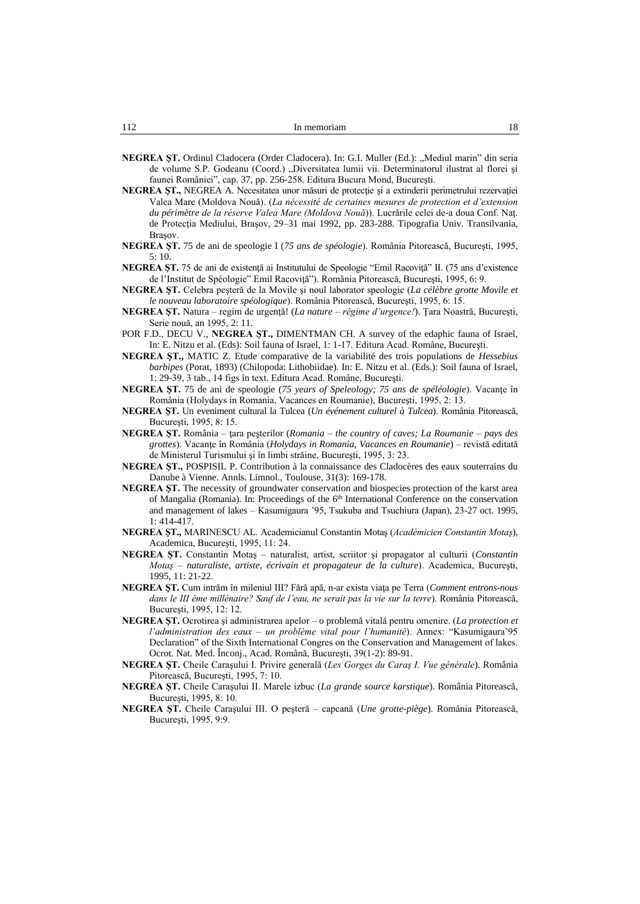- NEGREA ST. Ordinul Cladocera (Order Cladocera). In: G.I. Muller (Ed.): "Mediul marin" din seria de volume S.P. Godeanu (Coord.) "Diversitatea lumii vii. Determinatorul ilustrat al florei și faunei României", cap. 37, pp. 256-258. Editura Bucura Mond, Bucureşti.
- **NEGREA ŞT.,** NEGREA A. Necesitatea unor măsuri de protecţie şi a extinderii perimetrului rezervaţiei Valea Mare (Moldova Nouă). (*La nécessité de certaines mesures de protection et d'extension du périmètre de la réserve Valea Mare (Moldova Nouă*)). Lucrările celei de-a doua Conf. Naţ. de Protecţia Mediului, Braşov, 29–31 mai 1992, pp. 283-288. Tipografia Univ. Transilvania, Braşov.
- **NEGREA ŞT.** 75 de ani de speologie I (*75 ans de spéologie*). România Pitorească, Bucureşti, 1995,  $5:10.$
- **NEGREA ST.** 75 de ani de existență ai Institutului de Speologie "Emil Racoviță" II. (75 ans d'existence de l'Institut de Spéologie" Emil Racoviţă"). România Pitorească, Bucureşti, 1995, 6: 9.
- **NEGREA ŞT.** Celebra peşteră de la Movile şi noul laborator speologic (*La célèbre grotte Movile et le nouveau laboratoire spéologique*). România Pitorească, Bucureşti, 1995, 6: 15.
- **NEGREA ŞT.** Natura regim de urgenţă! (*La nature – régime d'urgence!*). Ţara Noastră, Bucureşti, Serie nouă, an 1995, 2: 11.
- POR F.D., DECU V., **NEGREA ŞT.,** DIMENTMAN CH. A survey of the edaphic fauna of Israel, In: E. Nitzu et al. (Eds): Soil fauna of Israel, 1: 1-17. Editura Acad. Române, Bucureşti.
- **NEGREA ŞT.,** MATIC Z. Etude comparative de la variabilité des trois populations de *Hessebius barbipes* (Porat, 1893) (Chilopoda: Lithobiidae). In: E. Nitzu et al. (Eds.): Soil fauna of Israel, 1: 29-39, 3 tab., 14 figs în text. Editura Acad. Române, Bucureşti.
- **NEGREA ŞT.** 75 de ani de speologie (75 years of Speleology; 75 ans de spéléologie). Vacante în România (Holydays in Romania, Vacances en Roumanie), Bucureşti, 1995, 2: 13.
- **NEGREA ŞT.** Un eveniment cultural la Tulcea (*Un événement culturel à Tulcea*). România Pitorească, Bucureşti, 1995, 8: 15.
- **NEGREA ŞT.** România ţara peşterilor (*Romania – the country of caves; La Roumanie – pays des grottes*). Vacanţe în România (*Holydays in Romania, Vacances en Roumanie*) – revistă editată de Ministerul Turismului şi în limbi străine, Bucureşti, 1995, 3: 23.
- **NEGREA ŞT.,** POSPISIL P. Contribution à la connaissance des Cladocères des eaux souterrains du Danube à Vienne. Annls. Limnol., Toulouse, 31(3): 169-178.
- **NEGREA ŞT.** The necessity of groundwater conservation and biospecies protection of the karst area of Mangalia (Romania). In: Proceedings of the 6<sup>th</sup> International Conference on the conservation and management of lakes – Kasumigaura '95, Tsukuba and Tsuchiura (Japan), 23-27 oct. 1995, 1: 414-417.
- **NEGREA ŞT.,** MARINESCU AL. Academicianul Constantin Motaş (*Académicien Constantin Motaş*), Academica, Bucureşti, 1995, 11: 24.
- **NEGREA ŞT.** Constantin Motaş naturalist, artist, scriitor şi propagator al culturii (*Constantin Motaş – naturaliste, artiste, écrivain et propagateur de la culture*). Academica, Bucureşti, 1995, 11: 21-22.
- **NEGREA ŞT.** Cum intrăm în mileniul III? Fără apă, n-ar exista viaţa pe Terra (*Comment entrons-nous dans le III ème millénaire? Sauf de l'eau, ne serait pas la vie sur la terre*). România Pitorească, Bucureşti, 1995, 12: 12.
- **NEGREA ŞT.** Ocrotirea şi administrarea apelor o problemă vitală pentru omenire. (*La protection et l'administration des eaux – un problème vital pour l'humanité*). Annex: "Kasumigaura'95 Declaration" of the Sixth International Congres on the Conservation and Management of lakes. Ocrot. Nat. Med. Înconj., Acad. Română, Bucureşti, 39(1-2): 89-91.
- **NEGREA ŞT.** Cheile Caraşului I. Privire generală (*Les Gorges du Caraş I. Vue générale*). România Pitorească, Bucureşti, 1995, 7: 10.
- **NEGREA ŞT.** Cheile Caraşului II. Marele izbuc (*La grande source karstique*). România Pitorească, Bucureşti, 1995, 8: 10.
- **NEGREA ŞT.** Cheile Caraşului III. O peşteră capcană (*Une grotte-piège*). România Pitorească, Bucureşti, 1995, 9:9.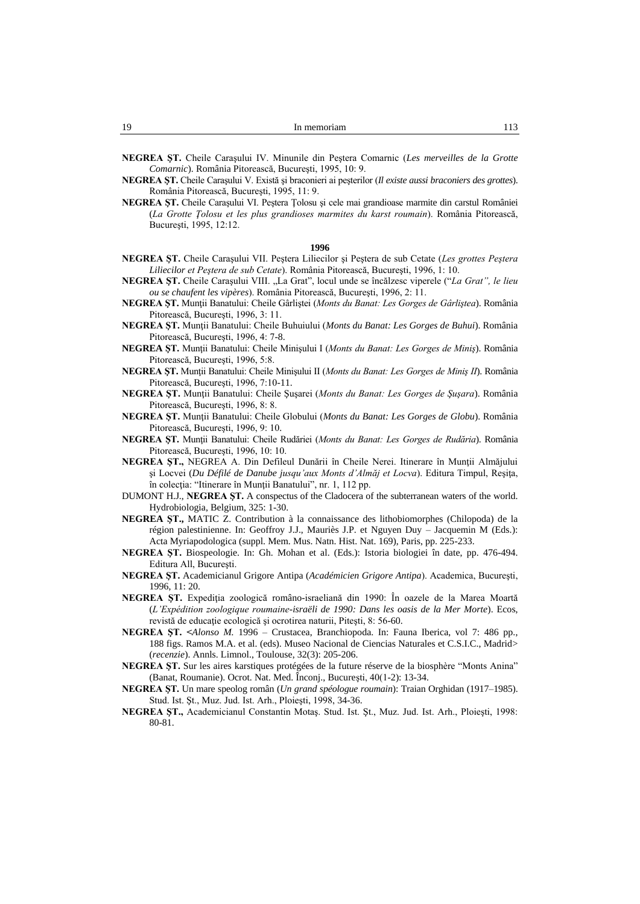- **NEGREA ŞT.** Cheile Caraşului IV. Minunile din Peştera Comarnic (*Les merveilles de la Grotte Comarnic*). România Pitorească, Bucureşti, 1995, 10: 9.
- **NEGREA ŞT.** Cheile Caraşului V. Există şi braconieri ai peşterilor (*Il existe aussi braconiers des grottes*). România Pitorească, Bucureşti, 1995, 11: 9.
- **NEGREA ŞT.** Cheile Caraşului VI. Peştera Ţolosu şi cele mai grandioase marmite din carstul României (*La Grotte Ţolosu et les plus grandioses marmites du karst roumain*). România Pitorească, Bucureşti, 1995, 12:12.

- **NEGREA ŞT.** Cheile Caraşului VII. Peştera Liliecilor şi Peştera de sub Cetate (*Les grottes Peştera Liliecilor et Peştera de sub Cetate*). România Pitorească, Bucureşti, 1996, 1: 10.
- **NEGREA ŞT.** Cheile Caraşului VIII. "La Grat", locul unde se încălzesc viperele ("*La Grat", le lieu ou se chaufent les vipères*). România Pitorească, Bucureşti, 1996, 2: 11.
- **NEGREA ŞT.** Munţii Banatului: Cheile Gârliştei (*Monts du Banat: Les Gorges de Gârliştea*). România Pitorească, Bucureşti, 1996, 3: 11.
- **NEGREA ŞT.** Munţii Banatului: Cheile Buhuiului (*Monts du Banat: Les Gorges de Buhui*). România Pitorească, Bucureşti, 1996, 4: 7-8.
- **NEGREA ŞT.** Munţii Banatului: Cheile Minişului I (*Monts du Banat: Les Gorges de Miniş*). România Pitorească, Bucureşti, 1996, 5:8.
- **NEGREA ŞT.** Munţii Banatului: Cheile Minişului II (*Monts du Banat: Les Gorges de Miniş II*). România Pitorească, Bucureşti, 1996, 7:10-11.
- **NEGREA ŞT.** Munţii Banatului: Cheile Şuşarei (*Monts du Banat: Les Gorges de Şuşara*). România Pitorească, Bucureşti, 1996, 8: 8.
- **NEGREA ŞT.** Munţii Banatului: Cheile Globului (*Monts du Banat: Les Gorges de Globu*). România Pitorească, Bucureşti, 1996, 9: 10.
- **NEGREA ŞT.** Munţii Banatului: Cheile Rudăriei (*Monts du Banat: Les Gorges de Rudăria*). România Pitorească, Bucureşti, 1996, 10: 10.
- **NEGREA ŞT.,** NEGREA A. Din Defileul Dunării în Cheile Nerei. Itinerare în Munţii Almăjului şi Locvei (*Du Défilé de Danube jusqu'aux Monts d'Almăj et Locva*). Editura Timpul, Reşiţa, în colecţia: "Itinerare în Munţii Banatului", nr. 1, 112 pp.
- DUMONT H.J., **NEGREA ŞT.** A conspectus of the Cladocera of the subterranean waters of the world. Hydrobiologia, Belgium, 325: 1-30.
- **NEGREA ŞT.,** MATIC Z. Contribution à la connaissance des lithobiomorphes (Chilopoda) de la région palestinienne. In: Geoffroy J.J., Mauriès J.P. et Nguyen Duy – Jacquemin M (Eds.): Acta Myriapodologica (suppl. Mem. Mus. Natn. Hist. Nat. 169), Paris, pp. 225-233.
- **NEGREA ŞT.** Biospeologie. In: Gh. Mohan et al. (Eds.): Istoria biologiei în date, pp. 476-494. Editura All, Bucureşti.
- **NEGREA ŞT.** Academicianul Grigore Antipa (*Académicien Grigore Antipa*). Academica, Bucureşti, 1996, 11: 20.
- **NEGREA ŞT.** Expediţia zoologică româno-israeliană din 1990: În oazele de la Marea Moartă (*L'Expédition zoologique roumaine-israëli de 1990: Dans les oasis de la Mer Morte*). Ecos, revistă de educație ecologică și ocrotirea naturii, Pitești, 8: 56-60.
- **NEGREA ŞT. <***Alonso M.* 1996 Crustacea, Branchiopoda. In: Fauna Iberica, vol 7: 486 pp., 188 figs. Ramos M.A. et al. (eds). Museo Nacional de Ciencias Naturales et C.S.I.C., Madrid> (*recenzie*). Annls. Limnol., Toulouse, 32(3): 205-206.
- **NEGREA ŞT.** Sur les aires karstiques protégées de la future réserve de la biosphère "Monts Anina" (Banat, Roumanie). Ocrot. Nat. Med. Înconj., Bucureşti, 40(1-2): 13-34.
- **NEGREA ŞT.** Un mare speolog român (*Un grand spéologue roumain*): Traian Orghidan (1917–1985). Stud. Ist. Şt., Muz. Jud. Ist. Arh., Ploieşti, 1998, 34-36.
- **NEGREA ŞT.,** Academicianul Constantin Motaş. Stud. Ist. Şt., Muz. Jud. Ist. Arh., Ploieşti, 1998: 80-81.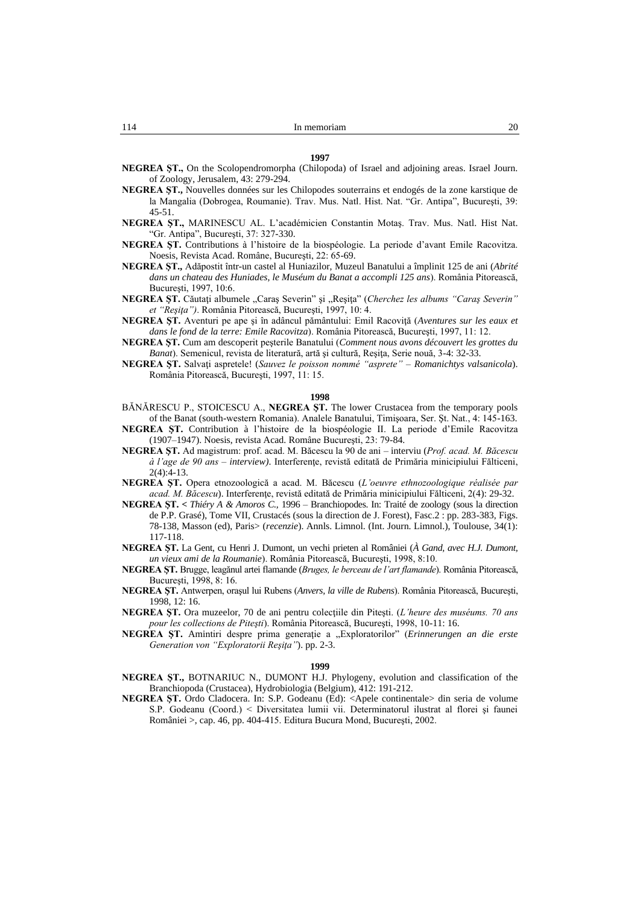**1997 NEGREA ŞT.,** On the Scolopendromorpha (Chilopoda) of Israel and adjoining areas. Israel Journ. of Zoology, Jerusalem, 43: 279-294.

- **NEGREA ŞT.,** Nouvelles données sur les Chilopodes souterrains et endogés de la zone karstique de la Mangalia (Dobrogea, Roumanie). Trav. Mus. Natl. Hist. Nat. "Gr. Antipa", Bucureşti, 39: 45-51.
- **NEGREA ŞT.,** MARINESCU AL. L'académicien Constantin Motaş. Trav. Mus. Natl. Hist Nat. "Gr. Antipa", Bucureşti, 37: 327-330.
- **NEGREA ŞT.** Contributions à l'histoire de la biospéologie. La periode d'avant Emile Racovitza. Noesis, Revista Acad. Române, Bucureşti, 22: 65-69.
- **NEGREA ŞT.,** Adăpostit într-un castel al Huniazilor, Muzeul Banatului a împlinit 125 de ani (*Abrité dans un chateau des Huniades, le Muséum du Banat a accompli 125 ans*). România Pitorească, Bucureşti, 1997, 10:6.
- **NEGREA ŞT.** Căutaţi albumele "Caraş Severin" şi "Reşiţa" (*Cherchez les albums "Caraş Severin" et "Reşiţa")*. România Pitorească, Bucureşti, 1997, 10: 4.
- **NEGREA ŞT.** Aventuri pe ape şi în adâncul pământului: Emil Racoviţă (*Aventures sur les eaux et dans le fond de la terre: Emile Racovitza*). România Pitorească, Bucureşti, 1997, 11: 12.
- **NEGREA ŞT.** Cum am descoperit peşterile Banatului (*Comment nous avons découvert les grottes du Banat*). Semenicul, revista de literatură, artă şi cultură, Reşiţa, Serie nouă, 3-4: 32-33.
- **NEGREA ŞT.** Salvaţi aspretele! (*Sauvez le poisson nommé "asprete" Romanichtys valsanicola*). România Pitorească, Bucureşti, 1997, 11: 15.

#### **1998**

- BĂNĂRESCU P., STOICESCU A., **NEGREA ŞT.** The lower Crustacea from the temporary pools of the Banat (south-western Romania). Analele Banatului, Timişoara, Ser. Şt. Nat., 4: 145-163.
- **NEGREA ŞT.** Contribution à l'histoire de la biospéologie II. La periode d'Emile Racovitza (1907–1947). Noesis, revista Acad. Române Bucureşti, 23: 79-84.
- **NEGREA ŞT.** Ad magistrum: prof. acad. M. Băcescu la 90 de ani interviu (*Prof. acad. M. Băcescu à l'age de 90 ans – interview)*. Interferenţe, revistă editată de Primăria minicipiului Fălticeni, 2(4):4-13.
- **NEGREA ŞT.** Opera etnozoologică a acad. M. Băcescu (*L'oeuvre ethnozoologique réalisée par acad. M. Băcescu*). Interferenţe, revistă editată de Primăria minicipiului Fălticeni, 2(4): 29-32.
- **NEGREA ŞT. <** *Thiéry A & Amoros C.,* 1996 Branchiopodes. In: Traité de zoology (sous la direction de P.P. Grasé), Tome VII, Crustacés (sous la direction de J. Forest), Fasc.2 : pp. 283-383, Figs. 78-138, Masson (ed), Paris> (*recenzie*). Annls. Limnol. (Int. Journ. Limnol.), Toulouse, 34(1): 117-118.
- **NEGREA ŞT.** La Gent, cu Henri J. Dumont, un vechi prieten al României (*À Gand, avec H.J. Dumont, un vieux ami de la Roumanie*). România Pitorească, Bucureşti, 1998, 8:10.
- **NEGREA ŞT.** Brugge, leagănul artei flamande (*Bruges, le berceau de l'art flamande*). România Pitorească, Bucureşti, 1998, 8: 16.
- **NEGREA ŞT.** Antwerpen, oraşul lui Rubens (*Anvers, la ville de Rubens*). România Pitorească, Bucureşti, 1998, 12: 16.
- **NEGREA ŞT.** Ora muzeelor, 70 de ani pentru colecţiile din Piteşti. (*L'heure des muséums. 70 ans pour les collections de Piteşti*). România Pitorească, Bucureşti, 1998, 10-11: 16.
- **NEGREA ŞT.** Amintiri despre prima generaţie a "Exploratorilor" (*Erinnerungen an die erste Generation von "Exploratorii Reşiţa"*). pp. 2-3.

- **NEGREA ŞT.,** BOTNARIUC N., DUMONT H.J. Phylogeny, evolution and classification of the Branchiopoda (Crustacea), Hydrobiologia (Belgium), 412: 191-212.
- **NEGREA ŞT.** Ordo Cladocera. In: S.P. Godeanu (Ed): <Apele continentale> din seria de volume S.P. Godeanu (Coord.) < Diversitatea lumii vii. Determinatorul ilustrat al florei şi faunei României >, cap. 46, pp. 404-415. Editura Bucura Mond, Bucureşti, 2002.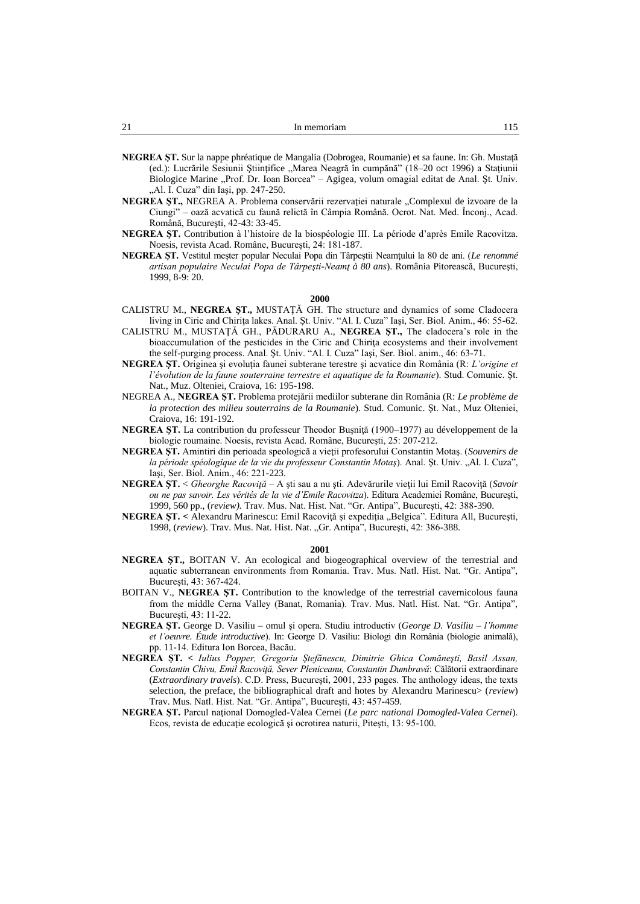- **NEGREA ŞT.** Sur la nappe phréatique de Mangalia (Dobrogea, Roumanie) et sa faune. In: Gh. Mustaţă (ed.): Lucrările Sesiunii Ştiinţifice "Marea Neagră în cumpănă" (18–20 oct 1996) a Staţiunii Biologice Marine "Prof. Dr. Ioan Borcea" – Agigea, volum omagial editat de Anal. Șt. Univ. "Al. I. Cuza" din Iași, pp. 247-250.
- **NEGREA ŞT.,** NEGREA A. Problema conservării rezervaţiei naturale "Complexul de izvoare de la Ciungi" – oază acvatică cu faună relictă în Câmpia Română. Ocrot. Nat. Med. Înconj., Acad. Română, Bucureşti, 42-43: 33-45.
- **NEGREA ŞT.** Contribution à l'histoire de la biospéologie III. La période d'après Emile Racovitza. Noesis, revista Acad. Române, Bucureşti, 24: 181-187.
- **NEGREA ŞT.** Vestitul meşter popular Neculai Popa din Târpeştii Neamţului la 80 de ani. (*Le renommé artisan populaire Neculai Popa de Târpeşti-Neamţ à 80 ans*). România Pitorească, Bucureşti, 1999, 8-9: 20.

- CALISTRU M., **NEGREA ŞT.,** MUSTAŢĂ GH. The structure and dynamics of some Cladocera living in Ciric and Chiriţa lakes. Anal. Şt. Univ. "Al. I. Cuza" Iaşi, Ser. Biol. Anim., 46: 55-62.
- CALISTRU M., MUSTAŢĂ GH., PĂDURARU A., **NEGREA ŞT.,** The cladocera's role in the bioaccumulation of the pesticides in the Ciric and Chiriţa ecosystems and their involvement the self-purging process. Anal. Şt. Univ. "Al. I. Cuza" Iaşi, Ser. Biol. anim., 46: 63-71.
- **NEGREA ŞT.** Originea şi evoluţia faunei subterane terestre şi acvatice din România (R: *L'origine et l'évolution de la faune souterraine terrestre et aquatique de la Roumanie*). Stud. Comunic. Şt. Nat., Muz. Olteniei, Craiova, 16: 195-198.
- NEGREA A., **NEGREA ŞT.** Problema protejării mediilor subterane din România (R: *Le problème de la protection des milieu souterrains de la Roumanie*). Stud. Comunic. Şt. Nat., Muz Olteniei, Craiova, 16: 191-192.
- **NEGREA ŞT.** La contribution du professeur Theodor Buşniţă (1900–1977) au développement de la biologie roumaine. Noesis, revista Acad. Române, Bucureşti, 25: 207-212.
- **NEGREA ŞT.** Amintiri din perioada speologică a vieţii profesorului Constantin Motaş. (*Souvenirs de*  la période spéologique de la vie du professeur Constantin Motaş). Anal. Șt. Univ. "Al. I. Cuza", Iaşi, Ser. Biol. Anim., 46: 221-223.
- **NEGREA ŞT.** < *Gheorghe Racoviţă* A şti sau a nu şti. Adevărurile vieţii lui Emil Racoviţă (*Savoir ou ne pas savoir. Les vérités de la vie d'Emile Racovitza*). Editura Academiei Române, Bucureşti, 1999, 560 pp., (*review).* Trav. Mus. Nat. Hist. Nat. "Gr. Antipa", Bucureşti, 42: 388-390.
- **NEGREA ŞT. <** Alexandru Marinescu: Emil Racoviţă şi expediţia "Belgica". Editura All, Bucureşti, 1998, (review). Trav. Mus. Nat. Hist. Nat. "Gr. Antipa", București, 42: 386-388.

- **NEGREA ŞT.,** BOITAN V. An ecological and biogeographical overview of the terrestrial and aquatic subterranean environments from Romania. Trav. Mus. Natl. Hist. Nat. "Gr. Antipa", Bucureşti, 43: 367-424.
- BOITAN V., **NEGREA ŞT.** Contribution to the knowledge of the terrestrial cavernicolous fauna from the middle Cerna Valley (Banat, Romania). Trav. Mus. Natl. Hist. Nat. "Gr. Antipa", Bucureşti, 43: 11-22.
- **NEGREA ŞT.** George D. Vasiliu omul şi opera. Studiu introductiv (*George D. Vasiliu – l'homme et l'oeuvre. Étude introductive*). In: George D. Vasiliu: Biologi din România (biologie animală), pp. 11-14. Editura Ion Borcea, Bacău.
- **NEGREA ŞT. <** *Iulius Popper, Gregoriu Ştefănescu, Dimitrie Ghica Comăneşti, Basil Assan, Constantin Chivu, Emil Racoviţă, Sever Pleniceanu, Constantin Dumbravă*: Călătorii extraordinare (*Extraordinary travels*). C.D. Press, Bucureşti, 2001, 233 pages. The anthology ideas, the texts selection, the preface, the bibliographical draft and hotes by Alexandru Marinescu> (*review*) Trav. Mus. Natl. Hist. Nat. "Gr. Antipa", Bucureşti, 43: 457-459.
- **NEGREA ŞT.** Parcul naţional Domogled-Valea Cernei (*Le parc national Domogled-Valea Cernei*). Ecos, revista de educație ecologică și ocrotirea naturii, Pitești, 13: 95-100.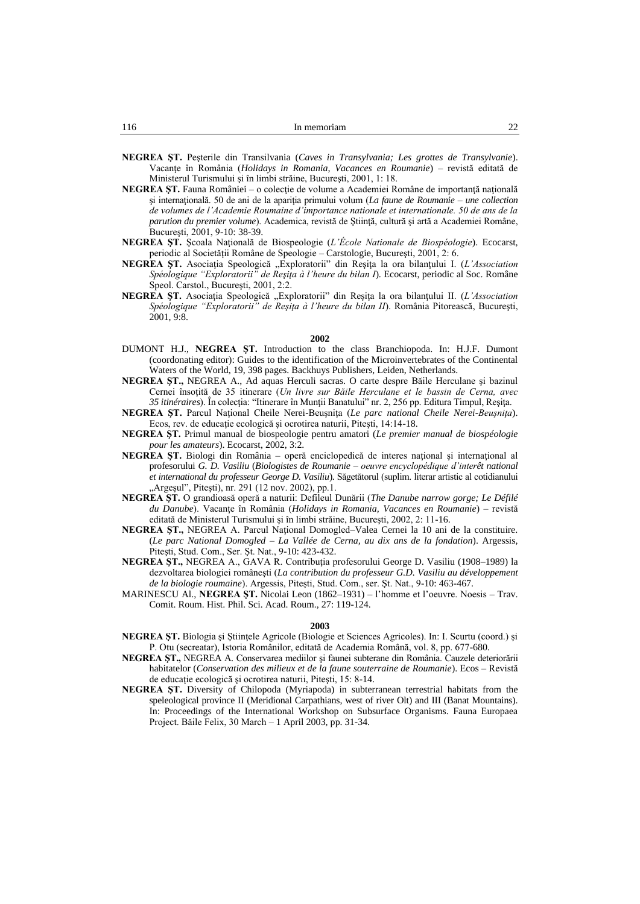- **NEGREA ŞT.** Peşterile din Transilvania (*Caves in Transylvania; Les grottes de Transylvanie*). Vacanţe în România (*Holidays in Romania, Vacances en Roumanie*) – revistă editată de Ministerul Turismului şi în limbi străine, Bucureşti, 2001, 1: 18.
- **NEGREA ȘT.** Fauna României o colecție de volume a Academiei Române de importanță națională şi internaţională. 50 de ani de la apariţia primului volum (*La faune de Roumanie – une collection de volumes de l'Academie Roumaine d'importance nationale et internationale. 50 de ans de la parution du premier volume*). Academica, revistă de Ştiinţă, cultură şi artă a Academiei Române, Bucureşti, 2001, 9-10: 38-39.
- **NEGREA ŞT.** Şcoala Naţională de Biospeologie (*L'École Nationale de Biospéologie*). Ecocarst, periodic al Societăţii Române de Speologie – Carstologie, Bucureşti, 2001, 2: 6.
- NEGREA ȘT. Asociația Speologică "Exploratorii" din Reșița la ora bilanțului I. (L'Association *Spéologique "Exploratorii" de Reşiţa à l'heure du bilan I*). Ecocarst, periodic al Soc. Române Speol. Carstol., Bucureşti, 2001, 2:2.
- **NEGREA ŞT.** Asociaţia Speologică "Exploratorii" din Reşiţa la ora bilanţului II. (*L'Association Spéologique "Exploratorii" de Reşiţa à l'heure du bilan II*). România Pitorească, Bucureşti, 2001, 9:8.

- DUMONT H.J., **NEGREA ŞT.** Introduction to the class Branchiopoda. In: H.J.F. Dumont (coordonating editor): Guides to the identification of the Microinvertebrates of the Continental Waters of the World, 19, 398 pages. Backhuys Publishers, Leiden, Netherlands.
- **NEGREA ŞT.,** NEGREA A., Ad aquas Herculi sacras. O carte despre Băile Herculane şi bazinul Cernei însoţită de 35 itinerare (*Un livre sur Băile Herculane et le bassin de Cerna, avec 35 itinéraires*). În colecţia: "Itinerare în Munţii Banatului" nr. 2, 256 pp. Editura Timpul, Reşiţa.
- **NEGREA ŞT.** Parcul Naţional Cheile Nerei-Beuşniţa (*Le parc national Cheile Nerei-Beuşniţa*). Ecos, rev. de educaţie ecologică şi ocrotirea naturii, Piteşti, 14:14-18.
- **NEGREA ŞT.** Primul manual de biospeologie pentru amatori (*Le premier manual de biospéologie pour les amateurs*). Ecocarst, 2002, 3:2.
- **NEGREA ST.** Biologi din România operă enciclopedică de interes national si international al profesorului *G. D. Vasiliu* (*Biologistes de Roumanie – oeuvre encyclopédique d'interêt national et international du professeur George D. Vasiliu*). Săgetătorul (suplim. literar artistic al cotidianului "Argeșul", Pitești), nr. 291 (12 nov. 2002), pp.1.
- **NEGREA ŞT.** O grandioasă operă a naturii: Defileul Dunării (*The Danube narrow gorge; Le Défilé du Danube*). Vacanţe în România (*Holidays in Romania, Vacances en Roumanie*) – revistă editată de Ministerul Turismului şi în limbi străine, Bucureşti, 2002, 2: 11-16.
- **NEGREA ŞT.,** NEGREA A. Parcul Naţional Domogled–Valea Cernei la 10 ani de la constituire. (*Le parc National Domogled – La Vallée de Cerna, au dix ans de la fondation*). Argessis, Piteşti, Stud. Com., Ser. Şt. Nat., 9-10: 423-432.
- **NEGREA ŞT.,** NEGREA A., GAVA R. Contribuţia profesorului George D. Vasiliu (1908–1989) la dezvoltarea biologiei româneşti (*La contribution du professeur G.D. Vasiliu au développement de la biologie roumaine*). Argessis, Piteşti, Stud. Com., ser. Şt. Nat., 9-10: 463-467.
- MARINESCU Al., **NEGREA ŞT.** Nicolai Leon (1862–1931) l'homme et l'oeuvre. Noesis Trav. Comit. Roum. Hist. Phil. Sci. Acad. Roum., 27: 119-124.

- **NEGREA ŞT.** Biologia şi Ştiinţele Agricole (Biologie et Sciences Agricoles). In: I. Scurtu (coord.) şi P. Otu (secreatar), Istoria Românilor, editată de Academia Română, vol. 8, pp. 677-680.
- **NEGREA ŞT.,** NEGREA A. Conservarea mediilor şi faunei subterane din România. Cauzele deteriorării habitatelor (*Conservation des milieux et de la faune souterraine de Roumanie*). Ecos – Revistă de educaţie ecologică şi ocrotirea naturii, Piteşti, 15: 8-14.
- **NEGREA ŞT.** Diversity of Chilopoda (Myriapoda) in subterranean terrestrial habitats from the speleological province II (Meridional Carpathians, west of river Olt) and III (Banat Mountains). In: Proceedings of the International Workshop on Subsurface Organisms. Fauna Europaea Project. Băile Felix, 30 March – 1 April 2003, pp. 31-34.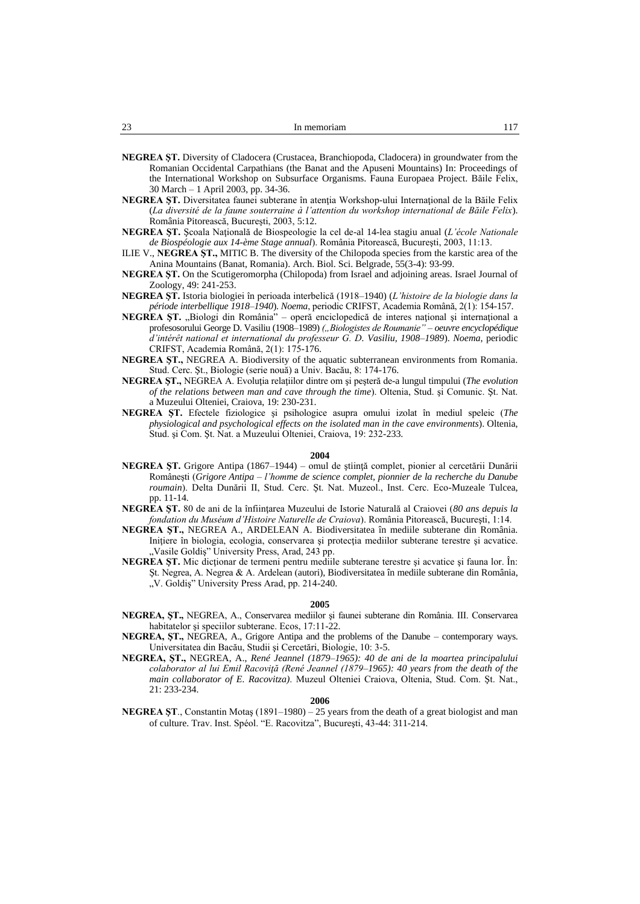- **NEGREA ŞT.** Diversity of Cladocera (Crustacea, Branchiopoda, Cladocera) in groundwater from the Romanian Occidental Carpathians (the Banat and the Apuseni Mountains) In: Proceedings of the International Workshop on Subsurface Organisms. Fauna Europaea Project. Băile Felix, 30 March – 1 April 2003, pp. 34-36.
- **NEGREA ŞT.** Diversitatea faunei subterane în atenţia Workshop-ului Internaţional de la Băile Felix (*La diversité de la faune souterraine à l'attention du workshop international de Băile Felix*). România Pitorească, Bucureşti, 2003, 5:12.
- **NEGREA ŞT.** Şcoala Naţională de Biospeologie la cel de-al 14-lea stagiu anual (*L'école Nationale de Biospéologie aux 14-ème Stage annual*). România Pitorească, Bucureşti, 2003, 11:13.
- ILIE V., **NEGREA ŞT.,** MITIC B. The diversity of the Chilopoda species from the karstic area of the Anina Mountains (Banat, Romania). Arch. Biol. Sci. Belgrade, 55(3-4): 93-99.
- **NEGREA ŞT.** On the Scutigeromorpha (Chilopoda) from Israel and adjoining areas. Israel Journal of Zoology, 49: 241-253.
- **NEGREA ŞT.** Istoria biologiei în perioada interbelică (1918–1940) (*L'histoire de la biologie dans la période interbellique 1918–1940*). *Noema*, periodic CRIFST, Academia Română, 2(1): 154-157.
- NEGREA ȘT. "Biologi din România" operă enciclopedică de interes național și internațional a profesosorului George D. Vasiliu (1908–1989) *("Biologistes de Roumanie" – oeuvre encyclopédique d'intérêt national et international du professeur G. D. Vasiliu, 1908–1989*). *Noema*, periodic CRIFST, Academia Română, 2(1): 175-176.
- **NEGREA ŞT.,** NEGREA A. Biodiversity of the aquatic subterranean environments from Romania. Stud. Cerc. Şt., Biologie (serie nouă) a Univ. Bacău, 8: 174-176.
- **NEGREA ŞT.,** NEGREA A. Evoluţia relaţiilor dintre om şi peşteră de-a lungul timpului (*The evolution of the relations between man and cave through the time*). Oltenia, Stud. şi Comunic. Şt. Nat. a Muzeului Olteniei, Craiova, 19: 230-231.
- **NEGREA ŞT.** Efectele fiziologice şi psihologice asupra omului izolat în mediul speleic (*The physiological and psychological effects on the isolated man in the cave environments*). Oltenia, Stud. şi Com. Şt. Nat. a Muzeului Olteniei, Craiova, 19: 232-233.

- **NEGREA ŞT.** Grigore Antipa (1867–1944) omul de ştiinţă complet, pionier al cercetării Dunării Româneşti (*Grigore Antipa – l'homme de science complet, pionnier de la recherche du Danube roumain*). Delta Dunării II, Stud. Cerc. Şt. Nat. Muzeol., Inst. Cerc. Eco-Muzeale Tulcea, pp. 11-14.
- **NEGREA ŞT.** 80 de ani de la înfiinţarea Muzeului de Istorie Naturală al Craiovei (*80 ans depuis la fondation du Muséum d'Histoire Naturelle de Craiova*). România Pitorească, Bucureşti, 1:14.
- **NEGREA ŞT.,** NEGREA A., ARDELEAN A. Biodiversitatea în mediile subterane din România. Iniţiere în biologia, ecologia, conservarea şi protecţia mediilor subterane terestre şi acvatice. "Vasile Goldiş" University Press, Arad, 243 pp.
- **NEGREA ŞT.** Mic dicţionar de termeni pentru mediile subterane terestre şi acvatice şi fauna lor. În: Şt. Negrea, A. Negrea & A. Ardelean (autori), Biodiversitatea în mediile subterane din România, "V. Goldiş" University Press Arad, pp. 214-240.

#### **2005**

- **NEGREA, ŞT.,** NEGREA, A., Conservarea mediilor şi faunei subterane din România. III. Conservarea habitatelor şi speciilor subterane. Ecos, 17:11-22.
- **NEGREA, ŞT.,** NEGREA, A., Grigore Antipa and the problems of the Danube contemporary ways. Universitatea din Bacău, Studii şi Cercetări, Biologie, 10: 3-5.
- **NEGREA, ŞT.,** NEGREA, A., *René Jeannel (1879–1965): 40 de ani de la moartea principalului colaborator al lui Emil Racoviţă (René Jeannel (1879–1965): 40 years from the death of the main collaborator of E. Racovitza)*. Muzeul Olteniei Craiova, Oltenia, Stud. Com. Şt. Nat., 21: 233-234.

### **2006**

**NEGREA ŞT**., Constantin Motaş (1891–1980) – 25 years from the death of a great biologist and man of culture. Trav. Inst. Spéol. "E. Racovitza", Bucureşti, 43-44: 311-214.